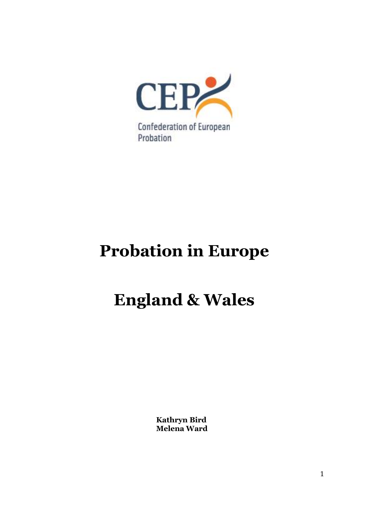

# **Probation in Europe**

# **England & Wales**

**Kathryn Bird Melena Ward**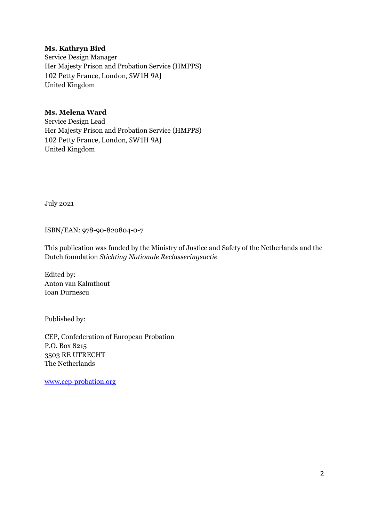## **Ms. Kathryn Bird**

Service Design Manager Her Majesty Prison and Probation Service (HMPPS) 102 Petty France, London, SW1H 9AJ United Kingdom

## **Ms. Melena Ward**

Service Design Lead Her Majesty Prison and Probation Service (HMPPS) 102 Petty France, London, SW1H 9AJ United Kingdom

July 2021

ISBN/EAN: 978-90-820804-0-7

This publication was funded by the Ministry of Justice and Safety of the Netherlands and the Dutch foundation *Stichting Nationale Reclasseringsactie*

Edited by: Anton van Kalmthout Ioan Durnescu

Published by:

CEP, Confederation of European Probation P.O. Box 8215 3503 RE UTRECHT The Netherlands

[www.cep-probation.org](http://www.cep-probation.org/)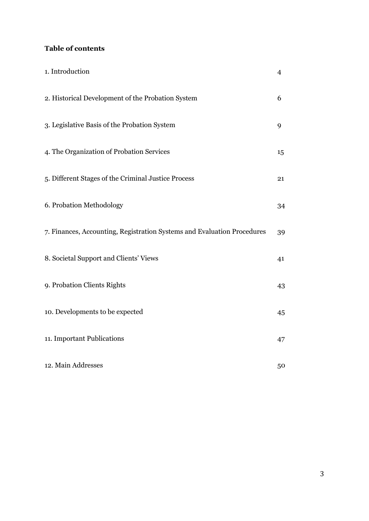## **Table of contents**

| 1. Introduction                                                         | $\overline{4}$ |
|-------------------------------------------------------------------------|----------------|
| 2. Historical Development of the Probation System                       | 6              |
| 3. Legislative Basis of the Probation System                            | 9              |
| 4. The Organization of Probation Services                               | 15             |
| 5. Different Stages of the Criminal Justice Process                     | 21             |
| 6. Probation Methodology                                                | 34             |
| 7. Finances, Accounting, Registration Systems and Evaluation Procedures | 39             |
| 8. Societal Support and Clients' Views                                  | 41             |
| 9. Probation Clients Rights                                             | 43             |
| 10. Developments to be expected                                         | 45             |
| 11. Important Publications                                              | 47             |
| 12. Main Addresses                                                      | 50             |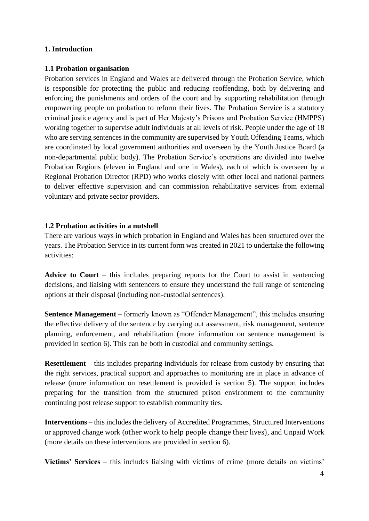## **1. Introduction**

## **1.1 Probation organisation**

Probation services in England and Wales are delivered through the Probation Service, which is responsible for protecting the public and reducing reoffending, both by delivering and enforcing the punishments and orders of the court and by supporting rehabilitation through empowering people on probation to reform their lives. The Probation Service is a statutory criminal justice agency and is part of Her Majesty's Prisons and Probation Service (HMPPS) working together to supervise adult individuals at all levels of risk. People under the age of 18 who are serving sentences in the community are supervised by Youth Offending Teams, which are coordinated by local government authorities and overseen by the Youth Justice Board (a non-departmental public body). The Probation Service's operations are divided into twelve Probation Regions (eleven in England and one in Wales), each of which is overseen by a Regional Probation Director (RPD) who works closely with other local and national partners to deliver effective supervision and can commission rehabilitative services from external voluntary and private sector providers.

## **1.2 Probation activities in a nutshell**

There are various ways in which probation in England and Wales has been structured over the years. The Probation Service in its current form was created in 2021 to undertake the following activities:

**Advice to Court** – this includes preparing reports for the Court to assist in sentencing decisions, and liaising with sentencers to ensure they understand the full range of sentencing options at their disposal (including non-custodial sentences).

**Sentence Management** – formerly known as "Offender Management", this includes ensuring the effective delivery of the sentence by carrying out assessment, risk management, sentence planning, enforcement, and rehabilitation (more information on sentence management is provided in section 6). This can be both in custodial and community settings.

**Resettlement** – this includes preparing individuals for release from custody by ensuring that the right services, practical support and approaches to monitoring are in place in advance of release (more information on resettlement is provided is section 5). The support includes preparing for the transition from the structured prison environment to the community continuing post release support to establish community ties.

**Interventions** – this includes the delivery of Accredited Programmes, Structured Interventions or approved change work (other work to help people change their lives), and Unpaid Work (more details on these interventions are provided in section 6).

**Victims' Services** – this includes liaising with victims of crime (more details on victims'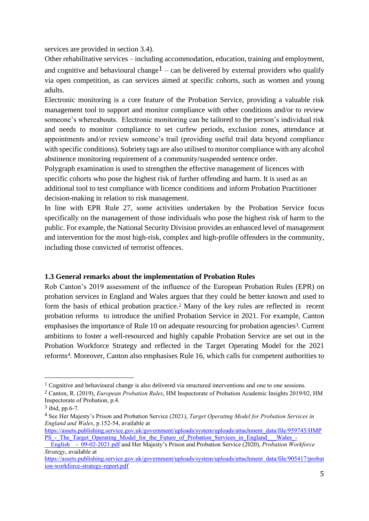services are provided in section 3.4).

Other rehabilitative services – including accommodation, education, training and employment, and cognitive and behavioural change<sup>1</sup> – can be delivered by external providers who qualify via open competition, as can services aimed at specific cohorts, such as women and young adults.

Electronic monitoring is a core feature of the Probation Service, providing a valuable risk management tool to support and monitor compliance with other conditions and/or to review someone's whereabouts. Electronic monitoring can be tailored to the person's individual risk and needs to monitor compliance to set curfew periods, exclusion zones, attendance at appointments and/or review someone's trail (providing useful trail data beyond compliance with specific conditions). Sobriety tags are also utilised to monitor compliance with any alcohol abstinence monitoring requirement of a community/suspended sentence order.

Polygraph examination is used to strengthen the effective management of licences with specific cohorts who pose the highest risk of further offending and harm. It is used as an additional tool to test compliance with licence conditions and inform Probation Practitioner decision-making in relation to risk management.

In line with EPR Rule 27, some activities undertaken by the Probation Service focus specifically on the management of those individuals who pose the highest risk of harm to the public. For example, the National Security Division provides an enhanced level of management and intervention for the most high-risk, complex and high-profile offenders in the community, including those convicted of terrorist offences.

#### **1.3 General remarks about the implementation of Probation Rules**

Rob Canton's 2019 assessment of the influence of the European Probation Rules (EPR) on probation services in England and Wales argues that they could be better known and used to form the basis of ethical probation practice. <sup>2</sup> Many of the key rules are reflected in recent probation reforms to introduce the unified Probation Service in 2021. For example, Canton emphasises the importance of Rule 10 on adequate resourcing for probation agencies<sup>3</sup>. Current ambitions to foster a well-resourced and highly capable Probation Service are set out in the Probation Workforce Strategy and reflected in the Target Operating Model for the 2021 reforms4. Moreover, Canton also emphasises Rule 16, which calls for competent authorities to

<sup>&</sup>lt;sup>1</sup> Cognitive and behavioural change is also delivered via structured interventions and one to one sessions.

<sup>2</sup> Canton, R. (2019), *European Probation Rules*, HM Inspectorate of Probation Academic Insights 2019/02, HM Inspectorate of Probation, p.4.

<sup>3</sup> ibid, pp.6-7.

<sup>4</sup> See Her Majesty's Prison and Probation Service (2021), *Target Operating Model for Probation Services in England and Wales*, p.152-54, available at

[https://assets.publishing.service.gov.uk/government/uploads/system/uploads/attachment\\_data/file/959745/HMP](https://assets.publishing.service.gov.uk/government/uploads/system/uploads/attachment_data/file/959745/HMPPS_-_The_Target_Operating_Model_for_the_Future_of_Probation_Services_in_England___Wales_-__English__-_09-02-2021.pdf) PS - The Target Operating Model for the Future of Probation Services in England Wales

[\\_\\_English\\_\\_-\\_09-02-2021.pdf](https://assets.publishing.service.gov.uk/government/uploads/system/uploads/attachment_data/file/959745/HMPPS_-_The_Target_Operating_Model_for_the_Future_of_Probation_Services_in_England___Wales_-__English__-_09-02-2021.pdf) and Her Majesty's Prison and Probation Service (2020), *Probation Workforce Strategy*, available at

[https://assets.publishing.service.gov.uk/government/uploads/system/uploads/attachment\\_data/file/905417/probat](https://assets.publishing.service.gov.uk/government/uploads/system/uploads/attachment_data/file/905417/probation-workforce-strategy-report.pdf) [ion-workforce-strategy-report.pdf](https://assets.publishing.service.gov.uk/government/uploads/system/uploads/attachment_data/file/905417/probation-workforce-strategy-report.pdf)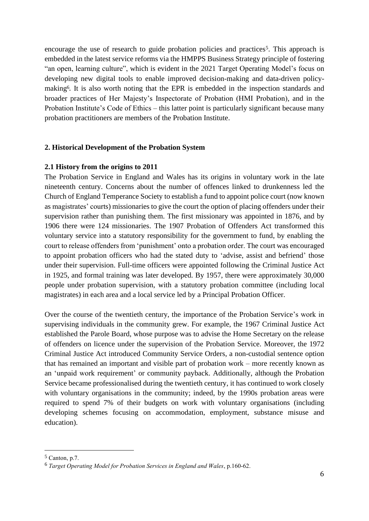encourage the use of research to guide probation policies and practices<sup>5</sup>. This approach is embedded in the latest service reforms via the HMPPS Business Strategy principle of fostering "an open, learning culture", which is evident in the 2021 Target Operating Model's focus on developing new digital tools to enable improved decision-making and data-driven policymaking6. It is also worth noting that the EPR is embedded in the inspection standards and broader practices of Her Majesty's Inspectorate of Probation (HMI Probation), and in the Probation Institute's Code of Ethics – this latter point is particularly significant because many probation practitioners are members of the Probation Institute.

#### **2. Historical Development of the Probation System**

#### **2.1 History from the origins to 2011**

The Probation Service in England and Wales has its origins in voluntary work in the late nineteenth century. Concerns about the number of offences linked to drunkenness led the Church of England Temperance Society to establish a fund to appoint police court (now known as magistrates' courts) missionaries to give the court the option of placing offenders under their supervision rather than punishing them. The first missionary was appointed in 1876, and by 1906 there were 124 missionaries. The 1907 Probation of Offenders Act transformed this voluntary service into a statutory responsibility for the government to fund, by enabling the court to release offenders from 'punishment' onto a probation order. The court was encouraged to appoint probation officers who had the stated duty to 'advise, assist and befriend' those under their supervision. Full-time officers were appointed following the Criminal Justice Act in 1925, and formal training was later developed. By 1957, there were approximately 30,000 people under probation supervision, with a statutory probation committee (including local magistrates) in each area and a local service led by a Principal Probation Officer.

Over the course of the twentieth century, the importance of the Probation Service's work in supervising individuals in the community grew. For example, the 1967 Criminal Justice Act established the Parole Board, whose purpose was to advise the Home Secretary on the release of offenders on licence under the supervision of the Probation Service. Moreover, the 1972 Criminal Justice Act introduced Community Service Orders, a non-custodial sentence option that has remained an important and visible part of probation work – more recently known as an 'unpaid work requirement' or community payback. Additionally, although the Probation Service became professionalised during the twentieth century, it has continued to work closely with voluntary organisations in the community; indeed, by the 1990s probation areas were required to spend 7% of their budgets on work with voluntary organisations (including developing schemes focusing on accommodation, employment, substance misuse and education).

<sup>5</sup> Canton, p.7.

<sup>6</sup> *Target Operating Model for Probation Services in England and Wales*, p.160-62.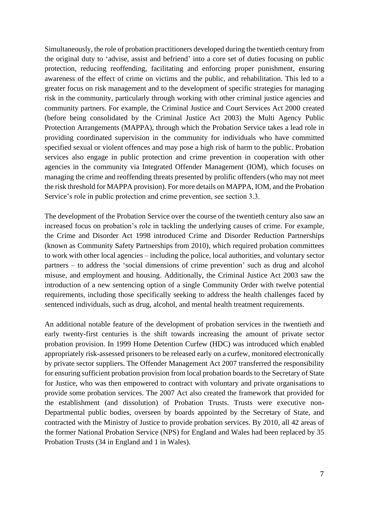Simultaneously, the role of probation practitioners developed during the twentieth century from the original duty to 'advise, assist and befriend' into a core set of duties focusing on public protection, reducing reoffending, facilitating and enforcing proper punishment, ensuring awareness of the effect of crime on victims and the public, and rehabilitation. This led to a greater focus on risk management and to the development of specific strategies for managing risk in the community, particularly through working with other criminal justice agencies and community partners. For example, the Criminal Justice and Court Services Act 2000 created (before being consolidated by the Criminal Justice Act 2003) the Multi Agency Public Protection Arrangements (MAPPA), through which the Probation Service takes a lead role in providing coordinated supervision in the community for individuals who have committed specified sexual or violent offences and may pose a high risk of harm to the public. Probation services also engage in public protection and crime prevention in cooperation with other agencies in the community via Integrated Offender Management (IOM), which focuses on managing the crime and reoffending threats presented by prolific offenders (who may not meet the risk threshold for MAPPA provision). For more details on MAPPA, IOM, and the Probation Service's role in public protection and crime prevention, see section 3.3.

The development of the Probation Service over the course of the twentieth century also saw an increased focus on probation's role in tackling the underlying causes of crime. For example, the Crime and Disorder Act 1998 introduced Crime and Disorder Reduction Partnerships (known as Community Safety Partnerships from 2010), which required probation committees to work with other local agencies – including the police, local authorities, and voluntary sector partners – to address the 'social dimensions of crime prevention' such as drug and alcohol misuse, and employment and housing. Additionally, the Criminal Justice Act 2003 saw the introduction of a new sentencing option of a single Community Order with twelve potential requirements, including those specifically seeking to address the health challenges faced by sentenced individuals, such as drug, alcohol, and mental health treatment requirements.

An additional notable feature of the development of probation services in the twentieth and early twenty-first centuries is the shift towards increasing the amount of private sector probation provision. In 1999 Home Detention Curfew (HDC) was introduced which enabled appropriately risk-assessed prisoners to be released early on a curfew, monitored electronically by private sector suppliers. The Offender Management Act 2007 transferred the responsibility for ensuring sufficient probation provision from local probation boards to the Secretary of State for Justice, who was then empowered to contract with voluntary and private organisations to provide some probation services. The 2007 Act also created the framework that provided for the establishment (and dissolution) of Probation Trusts. Trusts were executive non-Departmental public bodies, overseen by boards appointed by the Secretary of State, and contracted with the Ministry of Justice to provide probation services. By 2010, all 42 areas of the former National Probation Service (NPS) for England and Wales had been replaced by 35 Probation Trusts (34 in England and 1 in Wales).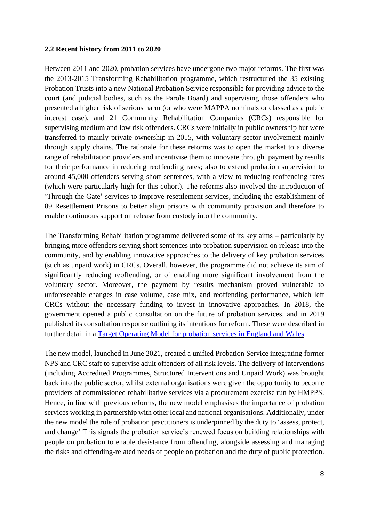#### **2.2 Recent history from 2011 to 2020**

Between 2011 and 2020, probation services have undergone two major reforms. The first was the 2013-2015 Transforming Rehabilitation programme, which restructured the 35 existing Probation Trusts into a new National Probation Service responsible for providing advice to the court (and judicial bodies, such as the Parole Board) and supervising those offenders who presented a higher risk of serious harm (or who were MAPPA nominals or classed as a public interest case), and 21 Community Rehabilitation Companies (CRCs) responsible for supervising medium and low risk offenders. CRCs were initially in public ownership but were transferred to mainly private ownership in 2015, with voluntary sector involvement mainly through supply chains. The rationale for these reforms was to open the market to a diverse range of rehabilitation providers and incentivise them to innovate through payment by results for their performance in reducing reoffending rates; also to extend probation supervision to around 45,000 offenders serving short sentences, with a view to reducing reoffending rates (which were particularly high for this cohort). The reforms also involved the introduction of 'Through the Gate' services to improve resettlement services, including the establishment of 89 Resettlement Prisons to better align prisons with community provision and therefore to enable continuous support on release from custody into the community.

The Transforming Rehabilitation programme delivered some of its key aims – particularly by bringing more offenders serving short sentences into probation supervision on release into the community, and by enabling innovative approaches to the delivery of key probation services (such as unpaid work) in CRCs. Overall, however, the programme did not achieve its aim of significantly reducing reoffending, or of enabling more significant involvement from the voluntary sector. Moreover, the payment by results mechanism proved vulnerable to unforeseeable changes in case volume, case mix, and reoffending performance, which left CRCs without the necessary funding to invest in innovative approaches. In 2018, the government opened a public consultation on the future of probation services, and in 2019 published its consultation response outlining its intentions for reform. These were described in further detail in a [Target Operating Model for probation services in England and Wales.](https://assets.publishing.service.gov.uk/government/uploads/system/uploads/attachment_data/file/975649/HMPPS_-_The_Target_Operating_Model_for_the_Future_of_Probation_Services_in_England___Wales_-__English__-_23-03-2021__accessible_pdf_.pdf)

The new model, launched in June 2021, created a unified Probation Service integrating former NPS and CRC staff to supervise adult offenders of all risk levels. The delivery of interventions (including Accredited Programmes, Structured Interventions and Unpaid Work) was brought back into the public sector, whilst external organisations were given the opportunity to become providers of commissioned rehabilitative services via a procurement exercise run by HMPPS. Hence, in line with previous reforms, the new model emphasises the importance of probation services working in partnership with other local and national organisations. Additionally, under the new model the role of probation practitioners is underpinned by the duty to 'assess, protect, and change' This signals the probation service's renewed focus on building relationships with people on probation to enable desistance from offending, alongside assessing and managing the risks and offending-related needs of people on probation and the duty of public protection.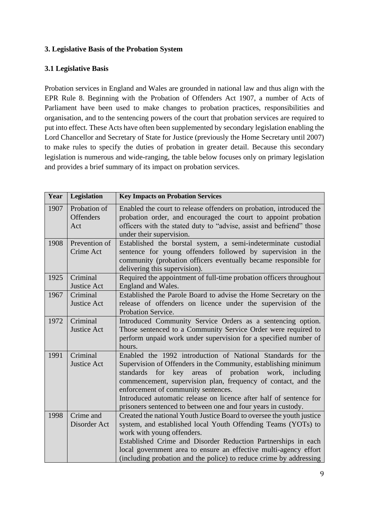## **3. Legislative Basis of the Probation System**

## **3.1 Legislative Basis**

Probation services in England and Wales are grounded in national law and thus align with the EPR Rule 8. Beginning with the Probation of Offenders Act 1907, a number of Acts of Parliament have been used to make changes to probation practices, responsibilities and organisation, and to the sentencing powers of the court that probation services are required to put into effect. These Acts have often been supplemented by secondary legislation enabling the Lord Chancellor and Secretary of State for Justice (previously the Home Secretary until 2007) to make rules to specify the duties of probation in greater detail. Because this secondary legislation is numerous and wide-ranging, the table below focuses only on primary legislation and provides a brief summary of its impact on probation services.

| Year | Legislation                             | <b>Key Impacts on Probation Services</b>                                                                                                                                                                                                                                                                                                                                                                                                       |
|------|-----------------------------------------|------------------------------------------------------------------------------------------------------------------------------------------------------------------------------------------------------------------------------------------------------------------------------------------------------------------------------------------------------------------------------------------------------------------------------------------------|
| 1907 | Probation of<br><b>Offenders</b><br>Act | Enabled the court to release offenders on probation, introduced the<br>probation order, and encouraged the court to appoint probation<br>officers with the stated duty to "advise, assist and befriend" those<br>under their supervision.                                                                                                                                                                                                      |
| 1908 | Prevention of<br>Crime Act              | Established the borstal system, a semi-indeterminate custodial<br>sentence for young offenders followed by supervision in the<br>community (probation officers eventually became responsible for<br>delivering this supervision).                                                                                                                                                                                                              |
| 1925 | Criminal<br>Justice Act                 | Required the appointment of full-time probation officers throughout<br>England and Wales.                                                                                                                                                                                                                                                                                                                                                      |
| 1967 | Criminal<br><b>Justice Act</b>          | Established the Parole Board to advise the Home Secretary on the<br>release of offenders on licence under the supervision of the<br>Probation Service.                                                                                                                                                                                                                                                                                         |
| 1972 | Criminal<br><b>Justice Act</b>          | Introduced Community Service Orders as a sentencing option.<br>Those sentenced to a Community Service Order were required to<br>perform unpaid work under supervision for a specified number of<br>hours.                                                                                                                                                                                                                                      |
| 1991 | Criminal<br><b>Justice Act</b>          | Enabled the 1992 introduction of National Standards for the<br>Supervision of Offenders in the Community, establishing minimum<br>of probation<br>work, including<br>for key areas<br>standards<br>commencement, supervision plan, frequency of contact, and the<br>enforcement of community sentences.<br>Introduced automatic release on licence after half of sentence for<br>prisoners sentenced to between one and four years in custody. |
| 1998 | Crime and<br>Disorder Act               | Created the national Youth Justice Board to oversee the youth justice<br>system, and established local Youth Offending Teams (YOTs) to<br>work with young offenders.<br>Established Crime and Disorder Reduction Partnerships in each<br>local government area to ensure an effective multi-agency effort<br>(including probation and the police) to reduce crime by addressing                                                                |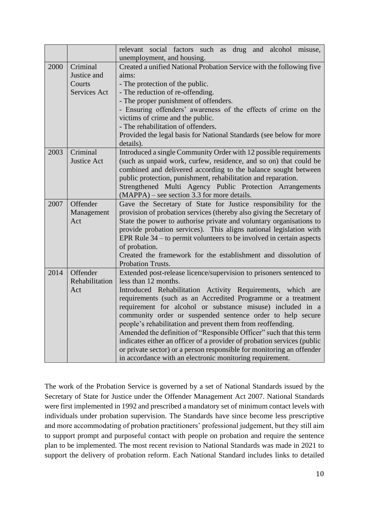|      |                                                   | relevant social factors such as drug and alcohol misuse,<br>unemployment, and housing.                                                                                                                                                                                                                                                                                                                                                                                                                                                                                                                                                                                                                     |  |  |  |  |
|------|---------------------------------------------------|------------------------------------------------------------------------------------------------------------------------------------------------------------------------------------------------------------------------------------------------------------------------------------------------------------------------------------------------------------------------------------------------------------------------------------------------------------------------------------------------------------------------------------------------------------------------------------------------------------------------------------------------------------------------------------------------------------|--|--|--|--|
| 2000 | Criminal<br>Justice and<br>Courts<br>Services Act | Created a unified National Probation Service with the following five<br>aims:<br>- The protection of the public.<br>- The reduction of re-offending.<br>- The proper punishment of offenders.<br>- Ensuring offenders' awareness of the effects of crime on the<br>victims of crime and the public.<br>- The rehabilitation of offenders.<br>Provided the legal basis for National Standards (see below for more<br>details).                                                                                                                                                                                                                                                                              |  |  |  |  |
| 2003 | Criminal<br><b>Justice Act</b>                    | Introduced a single Community Order with 12 possible requirements<br>(such as unpaid work, curfew, residence, and so on) that could be<br>combined and delivered according to the balance sought between<br>public protection, punishment, rehabilitation and reparation.<br>Strengthened Multi Agency Public Protection Arrangements<br>$(MAPPA)$ – see section 3.3 for more details.                                                                                                                                                                                                                                                                                                                     |  |  |  |  |
| 2007 | Offender<br>Management<br>Act                     | Gave the Secretary of State for Justice responsibility for the<br>provision of probation services (thereby also giving the Secretary of<br>State the power to authorise private and voluntary organisations to<br>provide probation services). This aligns national legislation with<br>EPR Rule $34$ – to permit volunteers to be involved in certain aspects<br>of probation.<br>Created the framework for the establishment and dissolution of<br>Probation Trusts.                                                                                                                                                                                                                                     |  |  |  |  |
| 2014 | Offender<br>Rehabilitation<br>Act                 | Extended post-release licence/supervision to prisoners sentenced to<br>less than 12 months.<br>Introduced Rehabilitation Activity Requirements, which are<br>requirements (such as an Accredited Programme or a treatment<br>requirement for alcohol or substance misuse) included in a<br>community order or suspended sentence order to help secure<br>people's rehabilitation and prevent them from reoffending.<br>Amended the definition of "Responsible Officer" such that this term<br>indicates either an officer of a provider of probation services (public<br>or private sector) or a person responsible for monitoring an offender<br>in accordance with an electronic monitoring requirement. |  |  |  |  |

The work of the Probation Service is governed by a set of National Standards issued by the Secretary of State for Justice under the Offender Management Act 2007. National Standards were first implemented in 1992 and prescribed a mandatory set of minimum contact levels with individuals under probation supervision. The Standards have since become less prescriptive and more accommodating of probation practitioners' professional judgement, but they still aim to support prompt and purposeful contact with people on probation and require the sentence plan to be implemented. The most recent revision to National Standards was made in 2021 to support the delivery of probation reform. Each National Standard includes links to detailed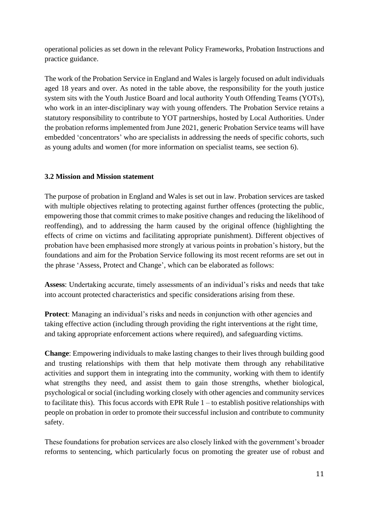operational policies as set down in the relevant Policy Frameworks, Probation Instructions and practice guidance.

The work of the Probation Service in England and Wales is largely focused on adult individuals aged 18 years and over. As noted in the table above, the responsibility for the youth justice system sits with the Youth Justice Board and local authority Youth Offending Teams (YOTs), who work in an inter-disciplinary way with young offenders. The Probation Service retains a statutory responsibility to contribute to YOT partnerships, hosted by Local Authorities. Under the probation reforms implemented from June 2021, generic Probation Service teams will have embedded 'concentrators' who are specialists in addressing the needs of specific cohorts, such as young adults and women (for more information on specialist teams, see section 6).

## **3.2 Mission and Mission statement**

The purpose of probation in England and Wales is set out in law. Probation services are tasked with multiple objectives relating to protecting against further offences (protecting the public, empowering those that commit crimes to make positive changes and reducing the likelihood of reoffending), and to addressing the harm caused by the original offence (highlighting the effects of crime on victims and facilitating appropriate punishment). Different objectives of probation have been emphasised more strongly at various points in probation's history, but the foundations and aim for the Probation Service following its most recent reforms are set out in the phrase 'Assess, Protect and Change', which can be elaborated as follows:

**Assess**: Undertaking accurate, timely assessments of an individual's risks and needs that take into account protected characteristics and specific considerations arising from these.

**Protect**: Managing an individual's risks and needs in conjunction with other agencies and taking effective action (including through providing the right interventions at the right time, and taking appropriate enforcement actions where required), and safeguarding victims.

**Change**: Empowering individuals to make lasting changes to their lives through building good and trusting relationships with them that help motivate them through any rehabilitative activities and support them in integrating into the community, working with them to identify what strengths they need, and assist them to gain those strengths, whether biological, psychological or social (including working closely with other agencies and community services to facilitate this). This focus accords with EPR Rule  $1 -$  to establish positive relationships with people on probation in order to promote their successful inclusion and contribute to community safety.

These foundations for probation services are also closely linked with the government's broader reforms to sentencing, which particularly focus on promoting the greater use of robust and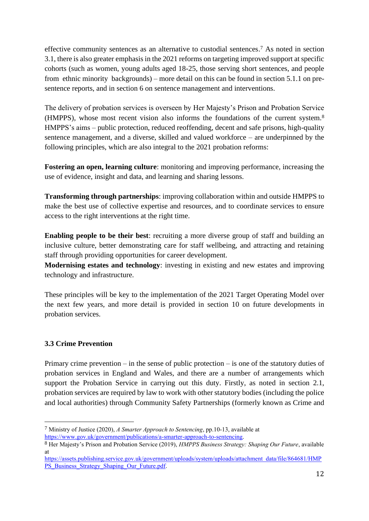effective community sentences as an alternative to custodial sentences. <sup>7</sup> As noted in section 3.1, there is also greater emphasis in the 2021 reforms on targeting improved support at specific cohorts (such as women, young adults aged 18-25, those serving short sentences, and people from ethnic minority backgrounds) – more detail on this can be found in section 5.1.1 on presentence reports, and in section 6 on sentence management and interventions.

The delivery of probation services is overseen by Her Majesty's Prison and Probation Service (HMPPS), whose most recent vision also informs the foundations of the current system.<sup>8</sup> HMPPS's aims – public protection, reduced reoffending, decent and safe prisons, high-quality sentence management, and a diverse, skilled and valued workforce – are underpinned by the following principles, which are also integral to the 2021 probation reforms:

**Fostering an open, learning culture**: monitoring and improving performance, increasing the use of evidence, insight and data, and learning and sharing lessons.

**Transforming through partnerships**: improving collaboration within and outside HMPPS to make the best use of collective expertise and resources, and to coordinate services to ensure access to the right interventions at the right time.

**Enabling people to be their best**: recruiting a more diverse group of staff and building an inclusive culture, better demonstrating care for staff wellbeing, and attracting and retaining staff through providing opportunities for career development.

**Modernising estates and technology**: investing in existing and new estates and improving technology and infrastructure.

These principles will be key to the implementation of the 2021 Target Operating Model over the next few years, and more detail is provided in section 10 on future developments in probation services.

## **3.3 Crime Prevention**

Primary crime prevention – in the sense of public protection – is one of the statutory duties of probation services in England and Wales, and there are a number of arrangements which support the Probation Service in carrying out this duty. Firstly, as noted in section 2.1, probation services are required by law to work with other statutory bodies (including the police and local authorities) through Community Safety Partnerships (formerly known as Crime and

<sup>7</sup> Ministry of Justice (2020), *A Smarter Approach to Sentencing*, pp.10-13, available at [https://www.gov.uk/government/publications/a-smarter-approach-to-sentencing.](https://www.gov.uk/government/publications/a-smarter-approach-to-sentencing)

<sup>8</sup> Her Majesty's Prison and Probation Service (2019), *HMPPS Business Strategy: Shaping Our Future*, available at

[https://assets.publishing.service.gov.uk/government/uploads/system/uploads/attachment\\_data/file/864681/HMP](https://assets.publishing.service.gov.uk/government/uploads/system/uploads/attachment_data/file/864681/HMPPS_Business_Strategy_Shaping_Our_Future.pdf) PS\_Business\_Strategy\_Shaping\_Our\_Future.pdf.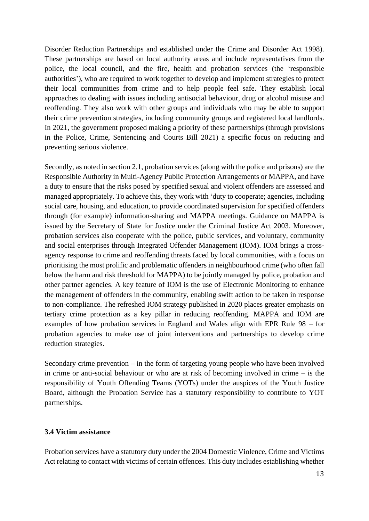Disorder Reduction Partnerships and established under the Crime and Disorder Act 1998). These partnerships are based on local authority areas and include representatives from the police, the local council, and the fire, health and probation services (the 'responsible authorities'), who are required to work together to develop and implement strategies to protect their local communities from crime and to help people feel safe. They establish local approaches to dealing with issues including antisocial behaviour, drug or alcohol misuse and reoffending. They also work with other groups and individuals who may be able to support their crime prevention strategies, including community groups and registered local landlords. In 2021, the government proposed making a priority of these partnerships (through provisions in the Police, Crime, Sentencing and Courts Bill 2021) a specific focus on reducing and preventing serious violence.

Secondly, as noted in section 2.1, probation services (along with the police and prisons) are the Responsible Authority in Multi-Agency Public Protection Arrangements or MAPPA, and have a duty to ensure that the risks posed by specified sexual and violent offenders are assessed and managed appropriately. To achieve this, they work with 'duty to cooperate; agencies, including social care, housing, and education, to provide coordinated supervision for specified offenders through (for example) information-sharing and MAPPA meetings. Guidance on MAPPA is issued by the Secretary of State for Justice under the Criminal Justice Act 2003. Moreover, probation services also cooperate with the police, public services, and voluntary, community and social enterprises through Integrated Offender Management (IOM). IOM brings a crossagency response to crime and reoffending threats faced by local communities, with a focus on prioritising the most prolific and problematic offenders in neighbourhood crime (who often fall below the harm and risk threshold for MAPPA) to be jointly managed by police, probation and other partner agencies. A key feature of IOM is the use of Electronic Monitoring to enhance the management of offenders in the community, enabling swift action to be taken in response to non-compliance. The refreshed IOM strategy published in 2020 places greater emphasis on tertiary crime protection as a key pillar in reducing reoffending. MAPPA and IOM are examples of how probation services in England and Wales align with EPR Rule 98 – for probation agencies to make use of joint interventions and partnerships to develop crime reduction strategies.

Secondary crime prevention – in the form of targeting young people who have been involved in crime or anti-social behaviour or who are at risk of becoming involved in crime – is the responsibility of Youth Offending Teams (YOTs) under the auspices of the Youth Justice Board, although the Probation Service has a statutory responsibility to contribute to YOT partnerships.

#### **3.4 Victim assistance**

Probation services have a statutory duty under the 2004 Domestic Violence, Crime and Victims Act relating to contact with victims of certain offences. This duty includes establishing whether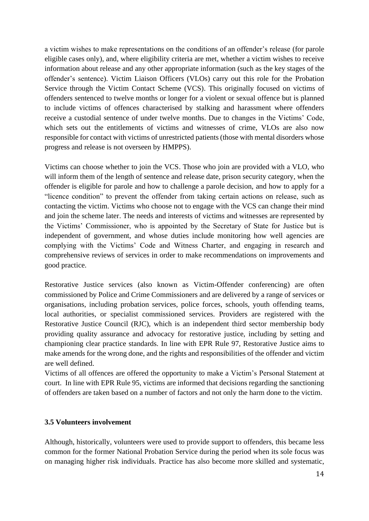a victim wishes to make representations on the conditions of an offender's release (for parole eligible cases only), and, where eligibility criteria are met, whether a victim wishes to receive information about release and any other appropriate information (such as the key stages of the offender's sentence). Victim Liaison Officers (VLOs) carry out this role for the Probation Service through the Victim Contact Scheme (VCS). This originally focused on victims of offenders sentenced to twelve months or longer for a violent or sexual offence but is planned to include victims of offences characterised by stalking and harassment where offenders receive a custodial sentence of under twelve months. Due to changes in the Victims' Code, which sets out the entitlements of victims and witnesses of crime, VLOs are also now responsible for contact with victims of unrestricted patients (those with mental disorders whose progress and release is not overseen by HMPPS).

Victims can choose whether to join the VCS. Those who join are provided with a VLO, who will inform them of the length of sentence and release date, prison security category, when the offender is eligible for parole and how to challenge a parole decision, and how to apply for a "licence condition" to prevent the offender from taking certain actions on release, such as contacting the victim. Victims who choose not to engage with the VCS can change their mind and join the scheme later. The needs and interests of victims and witnesses are represented by the Victims' Commissioner, who is appointed by the Secretary of State for Justice but is independent of government, and whose duties include monitoring how well agencies are complying with the Victims' Code and Witness Charter, and engaging in research and comprehensive reviews of services in order to make recommendations on improvements and good practice.

Restorative Justice services (also known as Victim-Offender conferencing) are often commissioned by Police and Crime Commissioners and are delivered by a range of services or organisations, including probation services, police forces, schools, youth offending teams, local authorities, or specialist commissioned services. Providers are registered with the Restorative Justice Council (RJC), which is an independent third sector membership body providing quality assurance and advocacy for restorative justice, including by setting and championing clear practice standards. In line with EPR Rule 97, Restorative Justice aims to make amends for the wrong done, and the rights and responsibilities of the offender and victim are well defined.

Victims of all offences are offered the opportunity to make a Victim's Personal Statement at court. In line with EPR Rule 95, victims are informed that decisions regarding the sanctioning of offenders are taken based on a number of factors and not only the harm done to the victim.

#### **3.5 Volunteers involvement**

Although, historically, volunteers were used to provide support to offenders, this became less common for the former National Probation Service during the period when its sole focus was on managing higher risk individuals. Practice has also become more skilled and systematic,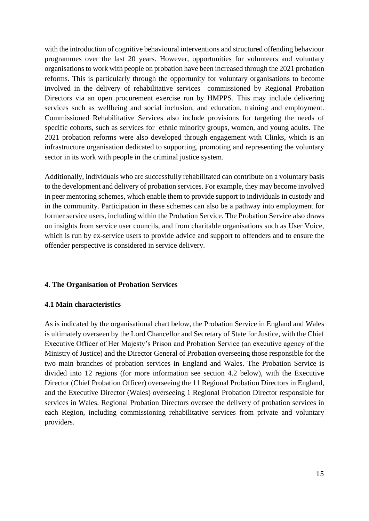with the introduction of cognitive behavioural interventions and structured offending behaviour programmes over the last 20 years. However, opportunities for volunteers and voluntary organisations to work with people on probation have been increased through the 2021 probation reforms. This is particularly through the opportunity for voluntary organisations to become involved in the delivery of rehabilitative services commissioned by Regional Probation Directors via an open procurement exercise run by HMPPS. This may include delivering services such as wellbeing and social inclusion, and education, training and employment. Commissioned Rehabilitative Services also include provisions for targeting the needs of specific cohorts, such as services for ethnic minority groups, women, and young adults. The 2021 probation reforms were also developed through engagement with Clinks, which is an infrastructure organisation dedicated to supporting, promoting and representing the voluntary sector in its work with people in the criminal justice system.

Additionally, individuals who are successfully rehabilitated can contribute on a voluntary basis to the development and delivery of probation services. For example, they may become involved in peer mentoring schemes, which enable them to provide support to individuals in custody and in the community. Participation in these schemes can also be a pathway into employment for former service users, including within the Probation Service. The Probation Service also draws on insights from service user councils, and from charitable organisations such as User Voice, which is run by ex-service users to provide advice and support to offenders and to ensure the offender perspective is considered in service delivery.

#### **4. The Organisation of Probation Services**

#### **4.1 Main characteristics**

As is indicated by the organisational chart below, the Probation Service in England and Wales is ultimately overseen by the Lord Chancellor and Secretary of State for Justice, with the Chief Executive Officer of Her Majesty's Prison and Probation Service (an executive agency of the Ministry of Justice) and the Director General of Probation overseeing those responsible for the two main branches of probation services in England and Wales. The Probation Service is divided into 12 regions (for more information see section 4.2 below), with the Executive Director (Chief Probation Officer) overseeing the 11 Regional Probation Directors in England, and the Executive Director (Wales) overseeing 1 Regional Probation Director responsible for services in Wales. Regional Probation Directors oversee the delivery of probation services in each Region, including commissioning rehabilitative services from private and voluntary providers.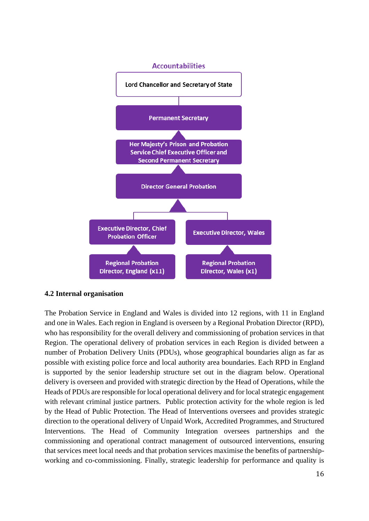

#### **4.2 Internal organisation**

The Probation Service in England and Wales is divided into 12 regions, with 11 in England and one in Wales. Each region in England is overseen by a Regional Probation Director (RPD), who has responsibility for the overall delivery and commissioning of probation services in that Region. The operational delivery of probation services in each Region is divided between a number of Probation Delivery Units (PDUs), whose geographical boundaries align as far as possible with existing police force and local authority area boundaries. Each RPD in England is supported by the senior leadership structure set out in the diagram below. Operational delivery is overseen and provided with strategic direction by the Head of Operations, while the Heads of PDUs are responsible for local operational delivery and for local strategic engagement with relevant criminal justice partners. Public protection activity for the whole region is led by the Head of Public Protection. The Head of Interventions oversees and provides strategic direction to the operational delivery of Unpaid Work, Accredited Programmes, and Structured Interventions. The Head of Community Integration oversees partnerships and the commissioning and operational contract management of outsourced interventions, ensuring that services meet local needs and that probation services maximise the benefits of partnershipworking and co-commissioning. Finally, strategic leadership for performance and quality is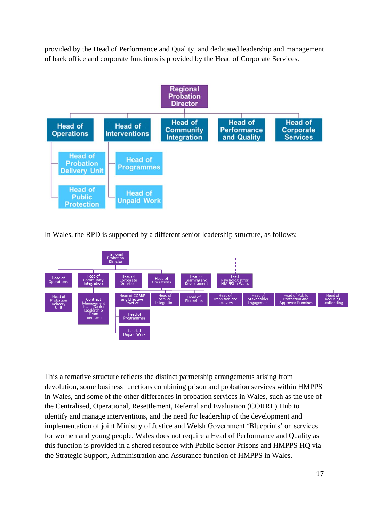provided by the Head of Performance and Quality, and dedicated leadership and management of back office and corporate functions is provided by the Head of Corporate Services.



In Wales, the RPD is supported by a different senior leadership structure, as follows:



This alternative structure reflects the distinct partnership arrangements arising from devolution, some business functions combining prison and probation services within HMPPS in Wales, and some of the other differences in probation services in Wales, such as the use of the Centralised, Operational, Resettlement, Referral and Evaluation (CORRE) Hub to identify and manage interventions, and the need for leadership of the development and implementation of joint Ministry of Justice and Welsh Government 'Blueprints' on services for women and young people. Wales does not require a Head of Performance and Quality as this function is provided in a shared resource with Public Sector Prisons and HMPPS HQ via the Strategic Support, Administration and Assurance function of HMPPS in Wales.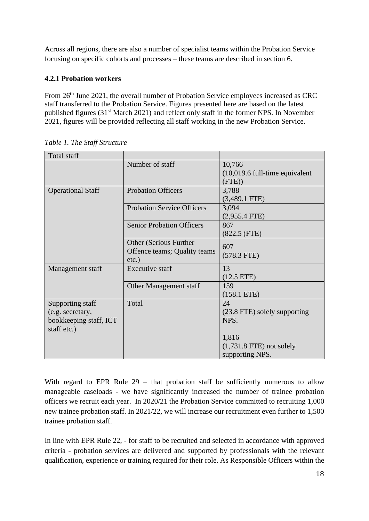Across all regions, there are also a number of specialist teams within the Probation Service focusing on specific cohorts and processes – these teams are described in section 6.

## **4.2.1 Probation workers**

From 26<sup>th</sup> June 2021, the overall number of Probation Service employees increased as CRC staff transferred to the Probation Service. Figures presented here are based on the latest published figures (31st March 2021) and reflect only staff in the former NPS. In November 2021, figures will be provided reflecting all staff working in the new Probation Service.

| Total staff              |                                   |                                  |
|--------------------------|-----------------------------------|----------------------------------|
|                          | Number of staff                   | 10,766                           |
|                          |                                   | $(10,019.6$ full-time equivalent |
|                          |                                   | (FTE))                           |
| <b>Operational Staff</b> | <b>Probation Officers</b>         | 3,788                            |
|                          |                                   | $(3,489.1$ FTE)                  |
|                          | <b>Probation Service Officers</b> | 3,094                            |
|                          |                                   | $(2,955.4$ FTE)                  |
|                          | <b>Senior Probation Officers</b>  | 867                              |
|                          |                                   | (822.5 (FTE))                    |
|                          | Other (Serious Further            | 607                              |
|                          | Offence teams; Quality teams      | $(578.3$ FTE)                    |
|                          | $etc.$ )                          |                                  |
| Management staff         | <b>Executive staff</b>            | 13                               |
|                          |                                   | $(12.5$ ETE)                     |
|                          | Other Management staff            | 159                              |
|                          |                                   | $(158.1$ ETE)                    |
| Supporting staff         | Total                             | 24                               |
| (e.g. secretary,         |                                   | (23.8 FTE) solely supporting     |
| bookkeeping staff, ICT   |                                   | NPS.                             |
| staff etc.)              |                                   |                                  |
|                          |                                   | 1,816                            |
|                          |                                   | $(1,731.8$ FTE) not solely       |
|                          |                                   | supporting NPS.                  |

*Table 1. The Staff Structure*

With regard to EPR Rule 29 – that probation staff be sufficiently numerous to allow manageable caseloads - we have significantly increased the number of trainee probation officers we recruit each year. In 2020/21 the Probation Service committed to recruiting 1,000 new trainee probation staff. In 2021/22, we will increase our recruitment even further to 1,500 trainee probation staff.

In line with EPR Rule 22, - for staff to be recruited and selected in accordance with approved criteria - probation services are delivered and supported by professionals with the relevant qualification, experience or training required for their role. As Responsible Officers within the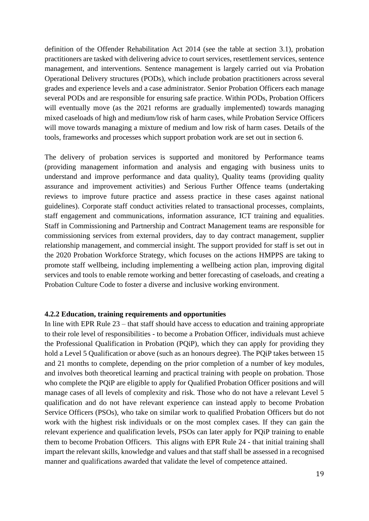definition of the Offender Rehabilitation Act 2014 (see the table at section 3.1), probation practitioners are tasked with delivering advice to court services, resettlement services, sentence management, and interventions. Sentence management is largely carried out via Probation Operational Delivery structures (PODs), which include probation practitioners across several grades and experience levels and a case administrator. Senior Probation Officers each manage several PODs and are responsible for ensuring safe practice. Within PODs, Probation Officers will eventually move (as the 2021 reforms are gradually implemented) towards managing mixed caseloads of high and medium/low risk of harm cases, while Probation Service Officers will move towards managing a mixture of medium and low risk of harm cases. Details of the tools, frameworks and processes which support probation work are set out in section 6.

The delivery of probation services is supported and monitored by Performance teams (providing management information and analysis and engaging with business units to understand and improve performance and data quality), Quality teams (providing quality assurance and improvement activities) and Serious Further Offence teams (undertaking reviews to improve future practice and assess practice in these cases against national guidelines). Corporate staff conduct activities related to transactional processes, complaints, staff engagement and communications, information assurance, ICT training and equalities. Staff in Commissioning and Partnership and Contract Management teams are responsible for commissioning services from external providers, day to day contract management, supplier relationship management, and commercial insight. The support provided for staff is set out in the 2020 Probation Workforce Strategy, which focuses on the actions HMPPS are taking to promote staff wellbeing, including implementing a wellbeing action plan, improving digital services and tools to enable remote working and better forecasting of caseloads, and creating a Probation Culture Code to foster a diverse and inclusive working environment.

#### **4.2.2 Education, training requirements and opportunities**

In line with EPR Rule 23 – that staff should have access to education and training appropriate to their role level of responsibilities - to become a Probation Officer, individuals must achieve the Professional Qualification in Probation (PQiP), which they can apply for providing they hold a Level 5 Qualification or above (such as an honours degree). The PQiP takes between 15 and 21 months to complete, depending on the prior completion of a number of key modules, and involves both theoretical learning and practical training with people on probation. Those who complete the PQiP are eligible to apply for Qualified Probation Officer positions and will manage cases of all levels of complexity and risk. Those who do not have a relevant Level 5 qualification and do not have relevant experience can instead apply to become Probation Service Officers (PSOs), who take on similar work to qualified Probation Officers but do not work with the highest risk individuals or on the most complex cases. If they can gain the relevant experience and qualification levels, PSOs can later apply for PQiP training to enable them to become Probation Officers. This aligns with EPR Rule 24 - that initial training shall impart the relevant skills, knowledge and values and that staff shall be assessed in a recognised manner and qualifications awarded that validate the level of competence attained.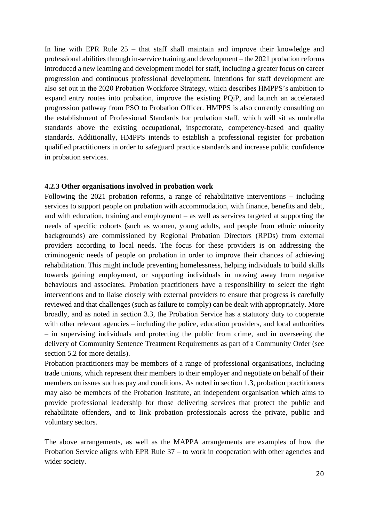In line with EPR Rule 25 – that staff shall maintain and improve their knowledge and professional abilities through in-service training and development – the 2021 probation reforms introduced a new learning and development model for staff, including a greater focus on career progression and continuous professional development. Intentions for staff development are also set out in the 2020 Probation Workforce Strategy, which describes HMPPS's ambition to expand entry routes into probation, improve the existing PQiP, and launch an accelerated progression pathway from PSO to Probation Officer. HMPPS is also currently consulting on the establishment of Professional Standards for probation staff, which will sit as umbrella standards above the existing occupational, inspectorate, competency-based and quality standards. Additionally, HMPPS intends to establish a professional register for probation qualified practitioners in order to safeguard practice standards and increase public confidence in probation services.

#### **4.2.3 Other organisations involved in probation work**

Following the 2021 probation reforms, a range of rehabilitative interventions – including services to support people on probation with accommodation, with finance, benefits and debt, and with education, training and employment – as well as services targeted at supporting the needs of specific cohorts (such as women, young adults, and people from ethnic minority backgrounds) are commissioned by Regional Probation Directors (RPDs) from external providers according to local needs. The focus for these providers is on addressing the criminogenic needs of people on probation in order to improve their chances of achieving rehabilitation. This might include preventing homelessness, helping individuals to build skills towards gaining employment, or supporting individuals in moving away from negative behaviours and associates. Probation practitioners have a responsibility to select the right interventions and to liaise closely with external providers to ensure that progress is carefully reviewed and that challenges (such as failure to comply) can be dealt with appropriately. More broadly, and as noted in section 3.3, the Probation Service has a statutory duty to cooperate with other relevant agencies – including the police, education providers, and local authorities – in supervising individuals and protecting the public from crime, and in overseeing the delivery of Community Sentence Treatment Requirements as part of a Community Order (see section 5.2 for more details).

Probation practitioners may be members of a range of professional organisations, including trade unions, which represent their members to their employer and negotiate on behalf of their members on issues such as pay and conditions. As noted in section 1.3, probation practitioners may also be members of the Probation Institute, an independent organisation which aims to provide professional leadership for those delivering services that protect the public and rehabilitate offenders, and to link probation professionals across the private, public and voluntary sectors.

The above arrangements, as well as the MAPPA arrangements are examples of how the Probation Service aligns with EPR Rule 37 – to work in cooperation with other agencies and wider society.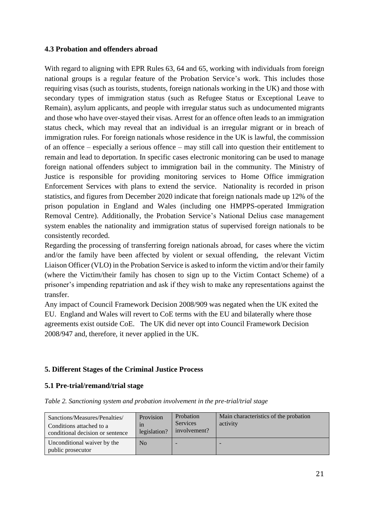## **4.3 Probation and offenders abroad**

With regard to aligning with EPR Rules 63, 64 and 65, working with individuals from foreign national groups is a regular feature of the Probation Service's work. This includes those requiring visas (such as tourists, students, foreign nationals working in the UK) and those with secondary types of immigration status (such as Refugee Status or Exceptional Leave to Remain), asylum applicants, and people with irregular status such as undocumented migrants and those who have over-stayed their visas. Arrest for an offence often leads to an immigration status check, which may reveal that an individual is an irregular migrant or in breach of immigration rules. For foreign nationals whose residence in the UK is lawful, the commission of an offence – especially a serious offence – may still call into question their entitlement to remain and lead to deportation. In specific cases electronic monitoring can be used to manage foreign national offenders subject to immigration bail in the community. The Ministry of Justice is responsible for providing monitoring services to Home Office immigration Enforcement Services with plans to extend the service. Nationality is recorded in prison statistics, and figures from December 2020 indicate that foreign nationals made up 12% of the prison population in England and Wales (including one HMPPS-operated Immigration Removal Centre). Additionally, the Probation Service's National Delius case management system enables the nationality and immigration status of supervised foreign nationals to be consistently recorded.

Regarding the processing of transferring foreign nationals abroad, for cases where the victim and/or the family have been affected by violent or sexual offending, the relevant Victim Liaison Officer (VLO) in the Probation Service is asked to inform the victim and/or their family (where the Victim/their family has chosen to sign up to the Victim Contact Scheme) of a prisoner's impending repatriation and ask if they wish to make any representations against the transfer.

Any impact of Council Framework Decision 2008/909 was negated when the UK exited the EU. England and Wales will revert to CoE terms with the EU and bilaterally where those agreements exist outside CoE. The UK did never opt into Council Framework Decision 2008/947 and, therefore, it never applied in the UK.

## **5. Different Stages of the Criminal Justice Process**

## **5.1 Pre-trial/remand/trial stage**

|  |  |  |  |  |  | Table 2. Sanctioning system and probation involvement in the pre-trial/trial stage |  |
|--|--|--|--|--|--|------------------------------------------------------------------------------------|--|
|--|--|--|--|--|--|------------------------------------------------------------------------------------|--|

| Sanctions/Measures/Penalties/<br>Conditions attached to a<br>conditional decision or sentence | Provision<br>1n<br>legislation? | Probation<br><b>Services</b><br>involvement? | Main characteristics of the probation<br>activity |
|-----------------------------------------------------------------------------------------------|---------------------------------|----------------------------------------------|---------------------------------------------------|
| Unconditional waiver by the<br>public prosecutor                                              | N <sub>0</sub>                  |                                              |                                                   |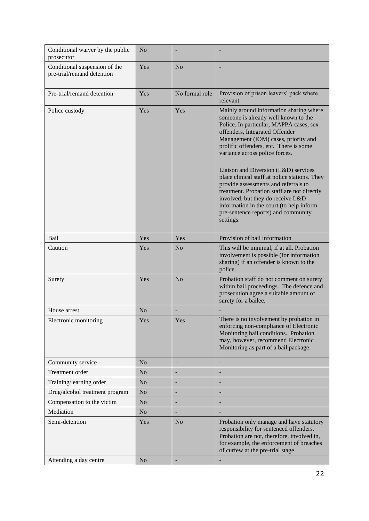| Conditional waiver by the public<br>prosecutor              | N <sub>o</sub> |                |                                                                                                                                                                                                                                                                                                                                                                                                                                                                                                                                                                                                       |
|-------------------------------------------------------------|----------------|----------------|-------------------------------------------------------------------------------------------------------------------------------------------------------------------------------------------------------------------------------------------------------------------------------------------------------------------------------------------------------------------------------------------------------------------------------------------------------------------------------------------------------------------------------------------------------------------------------------------------------|
| Conditional suspension of the<br>pre-trial/remand detention | Yes            | N <sub>o</sub> |                                                                                                                                                                                                                                                                                                                                                                                                                                                                                                                                                                                                       |
| Pre-trial/remand detention                                  | Yes            | No formal role | Provision of prison leavers' pack where<br>relevant.                                                                                                                                                                                                                                                                                                                                                                                                                                                                                                                                                  |
| Police custody                                              | Yes            | Yes            | Mainly around information sharing where<br>someone is already well known to the<br>Police. In particular, MAPPA cases, sex<br>offenders, Integrated Offender<br>Management (IOM) cases, priority and<br>prolific offenders, etc. There is some<br>variance across police forces.<br>Liaison and Diversion (L&D) services<br>place clinical staff at police stations. They<br>provide assessments and referrals to<br>treatment. Probation staff are not directly<br>involved, but they do receive L&D<br>information in the court (to help inform<br>pre-sentence reports) and community<br>settings. |
| Bail                                                        | Yes            | Yes            | Provision of bail information                                                                                                                                                                                                                                                                                                                                                                                                                                                                                                                                                                         |
| Caution                                                     | Yes            | N <sub>o</sub> | This will be minimal, if at all. Probation<br>involvement is possible (for information<br>sharing) if an offender is known to the<br>police.                                                                                                                                                                                                                                                                                                                                                                                                                                                          |
| Surety                                                      | Yes            | N <sub>o</sub> | Probation staff do not comment on surety<br>within bail proceedings. The defence and<br>prosecution agree a suitable amount of<br>surety for a bailee.                                                                                                                                                                                                                                                                                                                                                                                                                                                |
| House arrest                                                | N <sub>o</sub> |                |                                                                                                                                                                                                                                                                                                                                                                                                                                                                                                                                                                                                       |
| Electronic monitoring                                       | Yes            | Yes            | There is no involvement by probation in<br>enforcing non-compliance of Electronic<br>Monitoring bail conditions. Probation<br>may, however, recommend Electronic<br>Monitoring as part of a bail package.                                                                                                                                                                                                                                                                                                                                                                                             |
| Community service                                           | N <sub>o</sub> |                |                                                                                                                                                                                                                                                                                                                                                                                                                                                                                                                                                                                                       |
| Treatment order                                             | N <sub>o</sub> |                |                                                                                                                                                                                                                                                                                                                                                                                                                                                                                                                                                                                                       |
| Training/learning order                                     | N <sub>o</sub> | $\overline{a}$ |                                                                                                                                                                                                                                                                                                                                                                                                                                                                                                                                                                                                       |
| Drug/alcohol treatment program                              | N <sub>o</sub> |                |                                                                                                                                                                                                                                                                                                                                                                                                                                                                                                                                                                                                       |
| Compensation to the victim                                  | N <sub>o</sub> |                |                                                                                                                                                                                                                                                                                                                                                                                                                                                                                                                                                                                                       |
| Mediation                                                   | N <sub>o</sub> | -              |                                                                                                                                                                                                                                                                                                                                                                                                                                                                                                                                                                                                       |
| Semi-detention                                              | Yes            | N <sub>o</sub> | Probation only manage and have statutory<br>responsibility for sentenced offenders.<br>Probation are not, therefore, involved in,<br>for example, the enforcement of breaches<br>of curfew at the pre-trial stage.                                                                                                                                                                                                                                                                                                                                                                                    |
| Attending a day centre                                      | N <sub>o</sub> |                |                                                                                                                                                                                                                                                                                                                                                                                                                                                                                                                                                                                                       |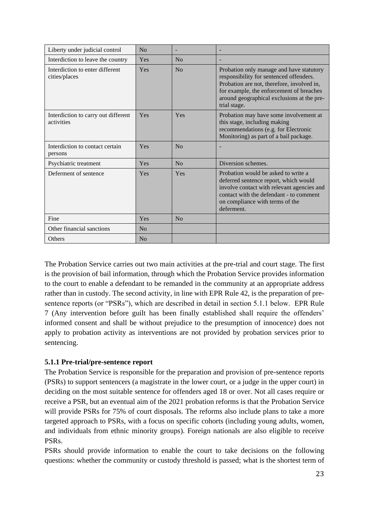| Liberty under judicial control                    | No  |                |                                                                                                                                                                                                                                             |
|---------------------------------------------------|-----|----------------|---------------------------------------------------------------------------------------------------------------------------------------------------------------------------------------------------------------------------------------------|
| Interdiction to leave the country                 | Yes | N <sub>0</sub> |                                                                                                                                                                                                                                             |
| Interdiction to enter different<br>cities/places  | Yes | No             | Probation only manage and have statutory<br>responsibility for sentenced offenders.<br>Probation are not, therefore, involved in,<br>for example, the enforcement of breaches<br>around geographical exclusions at the pre-<br>trial stage. |
| Interdiction to carry out different<br>activities | Yes | Yes            | Probation may have some involvement at<br>this stage, including making<br>recommendations (e.g. for Electronic<br>Monitoring) as part of a bail package.                                                                                    |
| Interdiction to contact certain<br>persons        | Yes | No             |                                                                                                                                                                                                                                             |
| Psychiatric treatment                             | Yes | No             | Diversion schemes.                                                                                                                                                                                                                          |
| Deferment of sentence                             | Yes | Yes            | Probation would be asked to write a<br>deferred sentence report, which would<br>involve contact with relevant agencies and<br>contact with the defendant - to comment<br>on compliance with terms of the<br>deferment.                      |
| Fine                                              | Yes | No             |                                                                                                                                                                                                                                             |
| Other financial sanctions                         | No  |                |                                                                                                                                                                                                                                             |
| <b>Others</b>                                     | No  |                |                                                                                                                                                                                                                                             |

The Probation Service carries out two main activities at the pre-trial and court stage. The first is the provision of bail information, through which the Probation Service provides information to the court to enable a defendant to be remanded in the community at an appropriate address rather than in custody. The second activity, in line with EPR Rule 42, is the preparation of presentence reports (or "PSRs"), which are described in detail in section 5.1.1 below. EPR Rule 7 (Any intervention before guilt has been finally established shall require the offenders' informed consent and shall be without prejudice to the presumption of innocence) does not apply to probation activity as interventions are not provided by probation services prior to sentencing.

## **5.1.1 Pre-trial/pre-sentence report**

The Probation Service is responsible for the preparation and provision of pre-sentence reports (PSRs) to support sentencers (a magistrate in the lower court, or a judge in the upper court) in deciding on the most suitable sentence for offenders aged 18 or over. Not all cases require or receive a PSR, but an eventual aim of the 2021 probation reforms is that the Probation Service will provide PSRs for 75% of court disposals. The reforms also include plans to take a more targeted approach to PSRs, with a focus on specific cohorts (including young adults, women, and individuals from ethnic minority groups). Foreign nationals are also eligible to receive PSRs.

PSRs should provide information to enable the court to take decisions on the following questions: whether the community or custody threshold is passed; what is the shortest term of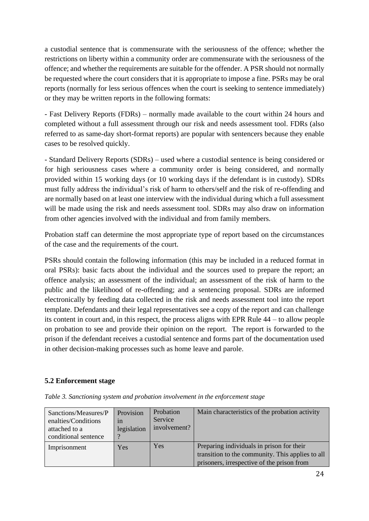a custodial sentence that is commensurate with the seriousness of the offence; whether the restrictions on liberty within a community order are commensurate with the seriousness of the offence; and whether the requirements are suitable for the offender. A PSR should not normally be requested where the court considers that it is appropriate to impose a fine. PSRs may be oral reports (normally for less serious offences when the court is seeking to sentence immediately) or they may be written reports in the following formats:

- Fast Delivery Reports (FDRs) – normally made available to the court within 24 hours and completed without a full assessment through our risk and needs assessment tool. FDRs (also referred to as same-day short-format reports) are popular with sentencers because they enable cases to be resolved quickly.

- Standard Delivery Reports (SDRs) – used where a custodial sentence is being considered or for high seriousness cases where a community order is being considered, and normally provided within 15 working days (or 10 working days if the defendant is in custody). SDRs must fully address the individual's risk of harm to others/self and the risk of re-offending and are normally based on at least one interview with the individual during which a full assessment will be made using the risk and needs assessment tool. SDRs may also draw on information from other agencies involved with the individual and from family members.

Probation staff can determine the most appropriate type of report based on the circumstances of the case and the requirements of the court.

PSRs should contain the following information (this may be included in a reduced format in oral PSRs): basic facts about the individual and the sources used to prepare the report; an offence analysis; an assessment of the individual; an assessment of the risk of harm to the public and the likelihood of re-offending; and a sentencing proposal. SDRs are informed electronically by feeding data collected in the risk and needs assessment tool into the report template. Defendants and their legal representatives see a copy of the report and can challenge its content in court and, in this respect, the process aligns with EPR Rule 44 – to allow people on probation to see and provide their opinion on the report. The report is forwarded to the prison if the defendant receives a custodial sentence and forms part of the documentation used in other decision-making processes such as home leave and parole.

## **5.2 Enforcement stage**

| Sanctions/Measures/P<br>enalties/Conditions<br>attached to a<br>conditional sentence | Provision<br>1n<br>legislation | Probation<br>Service<br>involvement? | Main characteristics of the probation activity                                                                                              |
|--------------------------------------------------------------------------------------|--------------------------------|--------------------------------------|---------------------------------------------------------------------------------------------------------------------------------------------|
| Imprisonment                                                                         | Yes                            | Yes                                  | Preparing individuals in prison for their<br>transition to the community. This applies to all<br>prisoners, irrespective of the prison from |

*Table 3. Sanctioning system and probation involvement in the enforcement stage*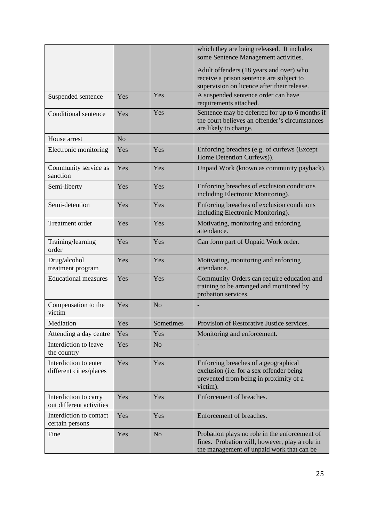|                                                   |                |                | which they are being released. It includes<br>some Sentence Management activities.                                                           |
|---------------------------------------------------|----------------|----------------|----------------------------------------------------------------------------------------------------------------------------------------------|
|                                                   |                |                | Adult offenders (18 years and over) who<br>receive a prison sentence are subject to<br>supervision on licence after their release.           |
| Suspended sentence                                | Yes            | Yes            | A suspended sentence order can have<br>requirements attached.                                                                                |
| Conditional sentence                              | Yes            | Yes            | Sentence may be deferred for up to 6 months if<br>the court believes an offender's circumstances<br>are likely to change.                    |
| House arrest                                      | N <sub>o</sub> |                |                                                                                                                                              |
| Electronic monitoring                             | Yes            | Yes            | Enforcing breaches (e.g. of curfews (Except)<br>Home Detention Curfews)).                                                                    |
| Community service as<br>sanction                  | Yes            | Yes            | Unpaid Work (known as community payback).                                                                                                    |
| Semi-liberty                                      | Yes            | Yes            | Enforcing breaches of exclusion conditions<br>including Electronic Monitoring).                                                              |
| Semi-detention                                    | Yes            | Yes            | Enforcing breaches of exclusion conditions<br>including Electronic Monitoring).                                                              |
| <b>Treatment</b> order                            | Yes            | Yes            | Motivating, monitoring and enforcing<br>attendance.                                                                                          |
| Training/learning<br>order                        | Yes            | Yes            | Can form part of Unpaid Work order.                                                                                                          |
| Drug/alcohol<br>treatment program                 | Yes            | Yes            | Motivating, monitoring and enforcing<br>attendance.                                                                                          |
| <b>Educational measures</b>                       | Yes            | Yes            | Community Orders can require education and<br>training to be arranged and monitored by<br>probation services.                                |
| Compensation to the<br>victim                     | Yes            | N <sub>o</sub> |                                                                                                                                              |
| Mediation                                         | Yes            | Sometimes      | Provision of Restorative Justice services.                                                                                                   |
| Attending a day centre                            | Yes            | Yes            | Monitoring and enforcement.                                                                                                                  |
| Interdiction to leave<br>the country              | Yes            | N <sub>o</sub> |                                                                                                                                              |
| Interdiction to enter<br>different cities/places  | Yes            | Yes            | Enforcing breaches of a geographical<br>exclusion (i.e. for a sex offender being<br>prevented from being in proximity of a<br>victim).       |
| Interdiction to carry<br>out different activities | Yes            | Yes            | Enforcement of breaches.                                                                                                                     |
| Interdiction to contact<br>certain persons        | Yes            | Yes            | Enforcement of breaches.                                                                                                                     |
| Fine                                              | Yes            | N <sub>o</sub> | Probation plays no role in the enforcement of<br>fines. Probation will, however, play a role in<br>the management of unpaid work that can be |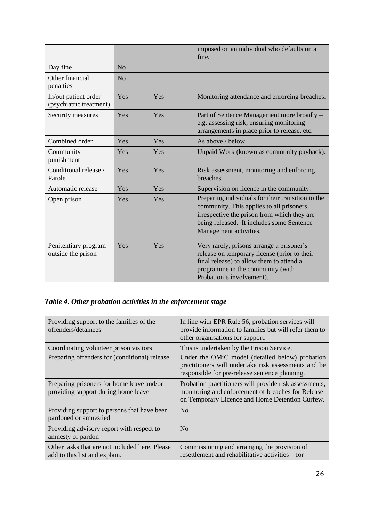|                                                 |                |     | imposed on an individual who defaults on a<br>fine.                                                                                                                                                                  |
|-------------------------------------------------|----------------|-----|----------------------------------------------------------------------------------------------------------------------------------------------------------------------------------------------------------------------|
| Day fine                                        | N <sub>o</sub> |     |                                                                                                                                                                                                                      |
| Other financial<br>penalties                    | N <sub>o</sub> |     |                                                                                                                                                                                                                      |
| In/out patient order<br>(psychiatric treatment) | Yes            | Yes | Monitoring attendance and enforcing breaches.                                                                                                                                                                        |
| Security measures                               | Yes            | Yes | Part of Sentence Management more broadly -<br>e.g. assessing risk, ensuring monitoring<br>arrangements in place prior to release, etc.                                                                               |
| Combined order                                  | Yes            | Yes | As above / below.                                                                                                                                                                                                    |
| Community<br>punishment                         | Yes            | Yes | Unpaid Work (known as community payback).                                                                                                                                                                            |
| Conditional release /<br>Parole                 | Yes            | Yes | Risk assessment, monitoring and enforcing<br>breaches.                                                                                                                                                               |
| Automatic release                               | Yes            | Yes | Supervision on licence in the community.                                                                                                                                                                             |
| Open prison                                     | Yes            | Yes | Preparing individuals for their transition to the<br>community. This applies to all prisoners,<br>irrespective the prison from which they are<br>being released. It includes some Sentence<br>Management activities. |
| Penitentiary program<br>outside the prison      | Yes            | Yes | Very rarely, prisons arrange a prisoner's<br>release on temporary license (prior to their<br>final release) to allow them to attend a<br>programme in the community (with<br>Probation's involvement).               |

# *Table 4. Other probation activities in the enforcement stage*

| Providing support to the families of the<br>offenders/detainees                  | In line with EPR Rule 56, probation services will<br>provide information to families but will refer them to<br>other organisations for support.                 |
|----------------------------------------------------------------------------------|-----------------------------------------------------------------------------------------------------------------------------------------------------------------|
| Coordinating volunteer prison visitors                                           | This is undertaken by the Prison Service.                                                                                                                       |
| Preparing offenders for (conditional) release                                    | Under the OMiC model (detailed below) probation<br>practitioners will undertake risk assessments and be<br>responsible for pre-release sentence planning.       |
| Preparing prisoners for home leave and/or<br>providing support during home leave | Probation practitioners will provide risk assessments,<br>monitoring and enforcement of breaches for Release<br>on Temporary Licence and Home Detention Curfew. |
| Providing support to persons that have been<br>pardoned or amnestied             | $\rm No$                                                                                                                                                        |
| Providing advisory report with respect to<br>amnesty or pardon                   | N <sub>0</sub>                                                                                                                                                  |
| Other tasks that are not included here. Please<br>add to this list and explain.  | Commissioning and arranging the provision of<br>resettlement and rehabilitative activities – for                                                                |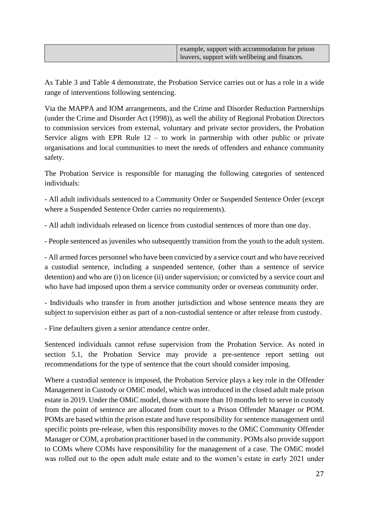|  |  | example, support with accommodation for prison<br>leavers, support with wellbeing and finances. |
|--|--|-------------------------------------------------------------------------------------------------|
|--|--|-------------------------------------------------------------------------------------------------|

As Table 3 and Table 4 demonstrate, the Probation Service carries out or has a role in a wide range of interventions following sentencing.

Via the MAPPA and IOM arrangements, and the Crime and Disorder Reduction Partnerships (under the Crime and Disorder Act (1998)), as well the ability of Regional Probation Directors to commission services from external, voluntary and private sector providers, the Probation Service aligns with EPR Rule  $12 -$  to work in partnership with other public or private organisations and local communities to meet the needs of offenders and enhance community safety.

The Probation Service is responsible for managing the following categories of sentenced individuals:

- All adult individuals sentenced to a Community Order or Suspended Sentence Order (except where a Suspended Sentence Order carries no requirements).

- All adult individuals released on licence from custodial sentences of more than one day.

- People sentenced as juveniles who subsequently transition from the youth to the adult system.

- All armed forces personnel who have been convicted by a service court and who have received a custodial sentence, including a suspended sentence, (other than a sentence of service detention) and who are (i) on licence (ii) under supervision; or convicted by a service court and who have had imposed upon them a service community order or overseas community order.

- Individuals who transfer in from another jurisdiction and whose sentence means they are subject to supervision either as part of a non-custodial sentence or after release from custody.

- Fine defaulters given a senior attendance centre order.

Sentenced individuals cannot refuse supervision from the Probation Service. As noted in section 5.1, the Probation Service may provide a pre-sentence report setting out recommendations for the type of sentence that the court should consider imposing.

Where a custodial sentence is imposed, the Probation Service plays a key role in the Offender Management in Custody or OMiC model, which was introduced in the closed adult male prison estate in 2019. Under the OMiC model, those with more than 10 months left to serve in custody from the point of sentence are allocated from court to a Prison Offender Manager or POM. POMs are based within the prison estate and have responsibility for sentence management until specific points pre-release, when this responsibility moves to the OMiC Community Offender Manager or COM, a probation practitioner based in the community. POMs also provide support to COMs where COMs have responsibility for the management of a case. The OMiC model was rolled out to the open adult male estate and to the women's estate in early 2021 under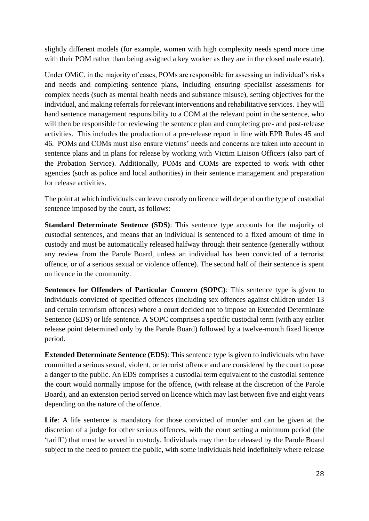slightly different models (for example, women with high complexity needs spend more time with their POM rather than being assigned a key worker as they are in the closed male estate).

Under OMiC, in the majority of cases, POMs are responsible for assessing an individual's risks and needs and completing sentence plans, including ensuring specialist assessments for complex needs (such as mental health needs and substance misuse), setting objectives for the individual, and making referrals for relevant interventions and rehabilitative services. They will hand sentence management responsibility to a COM at the relevant point in the sentence, who will then be responsible for reviewing the sentence plan and completing pre- and post-release activities. This includes the production of a pre-release report in line with EPR Rules 45 and 46. POMs and COMs must also ensure victims' needs and concerns are taken into account in sentence plans and in plans for release by working with Victim Liaison Officers (also part of the Probation Service). Additionally, POMs and COMs are expected to work with other agencies (such as police and local authorities) in their sentence management and preparation for release activities.

The point at which individuals can leave custody on licence will depend on the type of custodial sentence imposed by the court, as follows:

**Standard Determinate Sentence (SDS)**: This sentence type accounts for the majority of custodial sentences, and means that an individual is sentenced to a fixed amount of time in custody and must be automatically released halfway through their sentence (generally without any review from the Parole Board, unless an individual has been convicted of a terrorist offence, or of a serious sexual or violence offence). The second half of their sentence is spent on licence in the community.

**Sentences for Offenders of Particular Concern (SOPC)**: This sentence type is given to individuals convicted of specified offences (including sex offences against children under 13 and certain terrorism offences) where a court decided not to impose an Extended Determinate Sentence (EDS) or life sentence. A SOPC comprises a specific custodial term (with any earlier release point determined only by the Parole Board) followed by a twelve-month fixed licence period.

**Extended Determinate Sentence (EDS)**: This sentence type is given to individuals who have committed a serious sexual, violent, or terrorist offence and are considered by the court to pose a danger to the public. An EDS comprises a custodial term equivalent to the custodial sentence the court would normally impose for the offence, (with release at the discretion of the Parole Board), and an extension period served on licence which may last between five and eight years depending on the nature of the offence.

**Life**: A life sentence is mandatory for those convicted of murder and can be given at the discretion of a judge for other serious offences, with the court setting a minimum period (the 'tariff') that must be served in custody. Individuals may then be released by the Parole Board subject to the need to protect the public, with some individuals held indefinitely where release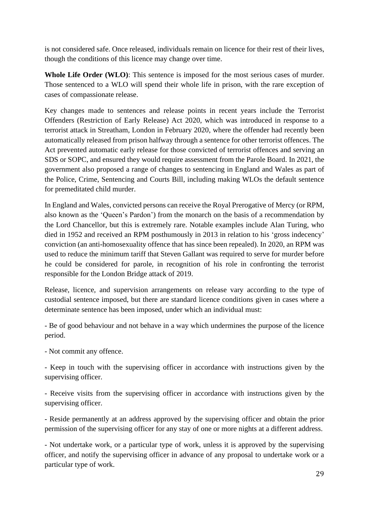is not considered safe. Once released, individuals remain on licence for their rest of their lives, though the conditions of this licence may change over time.

**Whole Life Order (WLO)**: This sentence is imposed for the most serious cases of murder. Those sentenced to a WLO will spend their whole life in prison, with the rare exception of cases of compassionate release.

Key changes made to sentences and release points in recent years include the Terrorist Offenders (Restriction of Early Release) Act 2020, which was introduced in response to a terrorist attack in Streatham, London in February 2020, where the offender had recently been automatically released from prison halfway through a sentence for other terrorist offences. The Act prevented automatic early release for those convicted of terrorist offences and serving an SDS or SOPC, and ensured they would require assessment from the Parole Board. In 2021, the government also proposed a range of changes to sentencing in England and Wales as part of the Police, Crime, Sentencing and Courts Bill, including making WLOs the default sentence for premeditated child murder.

In England and Wales, convicted persons can receive the Royal Prerogative of Mercy (or RPM, also known as the 'Queen's Pardon') from the monarch on the basis of a recommendation by the Lord Chancellor, but this is extremely rare. Notable examples include Alan Turing, who died in 1952 and received an RPM posthumously in 2013 in relation to his 'gross indecency' conviction (an anti-homosexuality offence that has since been repealed). In 2020, an RPM was used to reduce the minimum tariff that Steven Gallant was required to serve for murder before he could be considered for parole, in recognition of his role in confronting the terrorist responsible for the London Bridge attack of 2019.

Release, licence, and supervision arrangements on release vary according to the type of custodial sentence imposed, but there are standard licence conditions given in cases where a determinate sentence has been imposed, under which an individual must:

- Be of good behaviour and not behave in a way which undermines the purpose of the licence period.

- Not commit any offence.

- Keep in touch with the supervising officer in accordance with instructions given by the supervising officer.

- Receive visits from the supervising officer in accordance with instructions given by the supervising officer.

- Reside permanently at an address approved by the supervising officer and obtain the prior permission of the supervising officer for any stay of one or more nights at a different address.

- Not undertake work, or a particular type of work, unless it is approved by the supervising officer, and notify the supervising officer in advance of any proposal to undertake work or a particular type of work.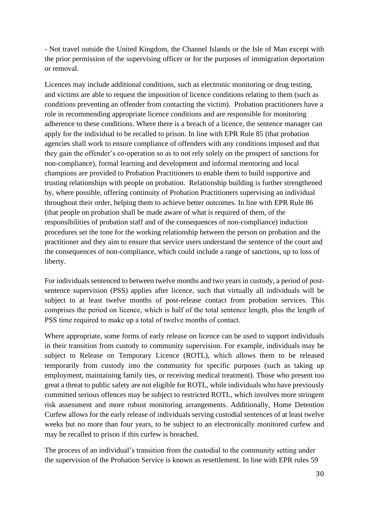- Not travel outside the United Kingdom, the Channel Islands or the Isle of Man except with the prior permission of the supervising officer or for the purposes of immigration deportation or removal.

Licences may include additional conditions, such as electronic monitoring or drug testing, and victims are able to request the imposition of licence conditions relating to them (such as conditions preventing an offender from contacting the victim). Probation practitioners have a role in recommending appropriate licence conditions and are responsible for monitoring adherence to these conditions. Where there is a breach of a licence, the sentence manager can apply for the individual to be recalled to prison. In line with EPR Rule 85 (that probation agencies shall work to ensure compliance of offenders with any conditions imposed and that they gain the offender's co-operation so as to not rely solely on the prospect of sanctions for non-compliance), formal learning and development and informal mentoring and local champions are provided to Probation Practitioners to enable them to build supportive and trusting relationships with people on probation. Relationship building is further strengthened by, where possible, offering continuity of Probation Practitioners supervising an individual throughout their order, helping them to achieve better outcomes. In line with EPR Rule 86 (that people on probation shall be made aware of what is required of them, of the responsibilities of probation staff and of the consequences of non-compliance) induction procedures set the tone for the working relationship between the person on probation and the practitioner and they aim to ensure that service users understand the sentence of the court and the consequences of non-compliance, which could include a range of sanctions, up to loss of liberty.

For individuals sentenced to between twelve months and two years in custody, a period of postsentence supervision (PSS) applies after licence, such that virtually all individuals will be subject to at least twelve months of post-release contact from probation services. This comprises the period on licence, which is half of the total sentence length, plus the length of PSS time required to make up a total of twelve months of contact.

Where appropriate, some forms of early release on licence can be used to support individuals in their transition from custody to community supervision. For example, individuals may be subject to Release on Temporary Licence (ROTL), which allows them to be released temporarily from custody into the community for specific purposes (such as taking up employment, maintaining family ties, or receiving medical treatment). Those who present too great a threat to public safety are not eligible for ROTL, while individuals who have previously committed serious offences may be subject to restricted ROTL, which involves more stringent risk assessment and more robust monitoring arrangements. Additionally, Home Detention Curfew allows for the early release of individuals serving custodial sentences of at least twelve weeks but no more than four years, to be subject to an electronically monitored curfew and may be recalled to prison if this curfew is breached.

The process of an individual's transition from the custodial to the community setting under the supervision of the Probation Service is known as resettlement. In line with EPR rules 59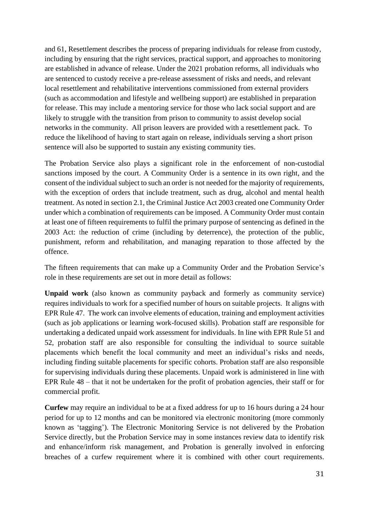and 61, Resettlement describes the process of preparing individuals for release from custody, including by ensuring that the right services, practical support, and approaches to monitoring are established in advance of release. Under the 2021 probation reforms, all individuals who are sentenced to custody receive a pre-release assessment of risks and needs, and relevant local resettlement and rehabilitative interventions commissioned from external providers (such as accommodation and lifestyle and wellbeing support) are established in preparation for release. This may include a mentoring service for those who lack social support and are likely to struggle with the transition from prison to community to assist develop social networks in the community. All prison leavers are provided with a resettlement pack. To reduce the likelihood of having to start again on release, individuals serving a short prison sentence will also be supported to sustain any existing community ties.

The Probation Service also plays a significant role in the enforcement of non-custodial sanctions imposed by the court. A Community Order is a sentence in its own right, and the consent of the individual subject to such an order is not needed for the majority of requirements, with the exception of orders that include treatment, such as drug, alcohol and mental health treatment. As noted in section 2.1, the Criminal Justice Act 2003 created one Community Order under which a combination of requirements can be imposed. A Community Order must contain at least one of fifteen requirements to fulfil the primary purpose of sentencing as defined in the 2003 Act: the reduction of crime (including by deterrence), the protection of the public, punishment, reform and rehabilitation, and managing reparation to those affected by the offence.

The fifteen requirements that can make up a Community Order and the Probation Service's role in these requirements are set out in more detail as follows:

**Unpaid work** (also known as community payback and formerly as community service) requires individuals to work for a specified number of hours on suitable projects. It aligns with EPR Rule 47. The work can involve elements of education, training and employment activities (such as job applications or learning work-focused skills). Probation staff are responsible for undertaking a dedicated unpaid work assessment for individuals. In line with EPR Rule 51 and 52, probation staff are also responsible for consulting the individual to source suitable placements which benefit the local community and meet an individual's risks and needs, including finding suitable placements for specific cohorts. Probation staff are also responsible for supervising individuals during these placements. Unpaid work is administered in line with EPR Rule 48 – that it not be undertaken for the profit of probation agencies, their staff or for commercial profit.

**Curfew** may require an individual to be at a fixed address for up to 16 hours during a 24 hour period for up to 12 months and can be monitored via electronic monitoring (more commonly known as 'tagging'). The Electronic Monitoring Service is not delivered by the Probation Service directly, but the Probation Service may in some instances review data to identify risk and enhance/inform risk management, and Probation is generally involved in enforcing breaches of a curfew requirement where it is combined with other court requirements.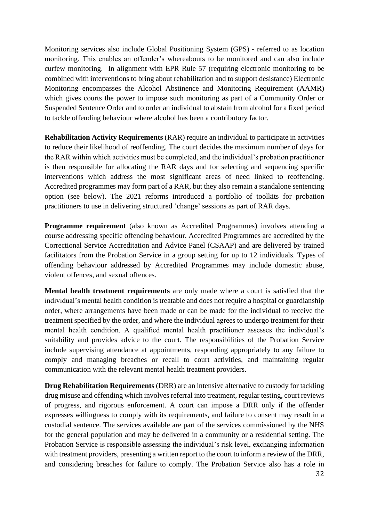Monitoring services also include Global Positioning System (GPS) - referred to as location monitoring. This enables an offender's whereabouts to be monitored and can also include curfew monitoring. In alignment with EPR Rule 57 (requiring electronic monitoring to be combined with interventions to bring about rehabilitation and to support desistance) Electronic Monitoring encompasses the Alcohol Abstinence and Monitoring Requirement (AAMR) which gives courts the power to impose such monitoring as part of a Community Order or Suspended Sentence Order and to order an individual to abstain from alcohol for a fixed period to tackle offending behaviour where alcohol has been a contributory factor.

**Rehabilitation Activity Requirements** (RAR) require an individual to participate in activities to reduce their likelihood of reoffending. The court decides the maximum number of days for the RAR within which activities must be completed, and the individual's probation practitioner is then responsible for allocating the RAR days and for selecting and sequencing specific interventions which address the most significant areas of need linked to reoffending. Accredited programmes may form part of a RAR, but they also remain a standalone sentencing option (see below). The 2021 reforms introduced a portfolio of toolkits for probation practitioners to use in delivering structured 'change' sessions as part of RAR days.

**Programme requirement** (also known as Accredited Programmes) involves attending a course addressing specific offending behaviour. Accredited Programmes are accredited by the Correctional Service Accreditation and Advice Panel (CSAAP) and are delivered by trained facilitators from the Probation Service in a group setting for up to 12 individuals. Types of offending behaviour addressed by Accredited Programmes may include domestic abuse, violent offences, and sexual offences.

**Mental health treatment requirements** are only made where a court is satisfied that the individual's mental health condition is treatable and does not require a hospital or guardianship order, where arrangements have been made or can be made for the individual to receive the treatment specified by the order, and where the individual agrees to undergo treatment for their mental health condition. A qualified mental health practitioner assesses the individual's suitability and provides advice to the court. The responsibilities of the Probation Service include supervising attendance at appointments, responding appropriately to any failure to comply and managing breaches or recall to court activities, and maintaining regular communication with the relevant mental health treatment providers.

**Drug Rehabilitation Requirements** (DRR) are an intensive alternative to custody for tackling drug misuse and offending which involves referral into treatment, regular testing, court reviews of progress, and rigorous enforcement. A court can impose a DRR only if the offender expresses willingness to comply with its requirements, and failure to consent may result in a custodial sentence. The services available are part of the services commissioned by the NHS for the general population and may be delivered in a community or a residential setting. The Probation Service is responsible assessing the individual's risk level, exchanging information with treatment providers, presenting a written report to the court to inform a review of the DRR, and considering breaches for failure to comply. The Probation Service also has a role in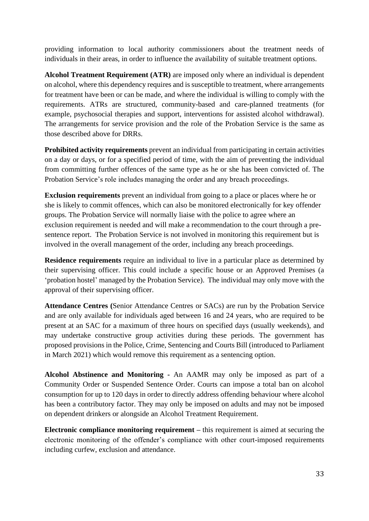providing information to local authority commissioners about the treatment needs of individuals in their areas, in order to influence the availability of suitable treatment options.

**Alcohol Treatment Requirement (ATR)** are imposed only where an individual is dependent on alcohol, where this dependency requires and is susceptible to treatment, where arrangements for treatment have been or can be made, and where the individual is willing to comply with the requirements. ATRs are structured, community-based and care-planned treatments (for example, psychosocial therapies and support, interventions for assisted alcohol withdrawal). The arrangements for service provision and the role of the Probation Service is the same as those described above for DRRs.

**Prohibited activity requirements** prevent an individual from participating in certain activities on a day or days, or for a specified period of time, with the aim of preventing the individual from committing further offences of the same type as he or she has been convicted of. The Probation Service's role includes managing the order and any breach proceedings.

**Exclusion requirements** prevent an individual from going to a place or places where he or she is likely to commit offences, which can also be monitored electronically for key offender groups. The Probation Service will normally liaise with the police to agree where an exclusion requirement is needed and will make a recommendation to the court through a presentence report. The Probation Service is not involved in monitoring this requirement but is involved in the overall management of the order, including any breach proceedings.

**Residence requirements** require an individual to live in a particular place as determined by their supervising officer. This could include a specific house or an Approved Premises (a 'probation hostel' managed by the Probation Service). The individual may only move with the approval of their supervising officer.

**Attendance Centres (**Senior Attendance Centres or SACs) are run by the Probation Service and are only available for individuals aged between 16 and 24 years, who are required to be present at an SAC for a maximum of three hours on specified days (usually weekends), and may undertake constructive group activities during these periods. The government has proposed provisions in the Police, Crime, Sentencing and Courts Bill (introduced to Parliament in March 2021) which would remove this requirement as a sentencing option.

**Alcohol Abstinence and Monitoring -** An AAMR may only be imposed as part of a Community Order or Suspended Sentence Order. Courts can impose a total ban on alcohol consumption for up to 120 days in order to directly address offending behaviour where alcohol has been a contributory factor. They may only be imposed on adults and may not be imposed on dependent drinkers or alongside an Alcohol Treatment Requirement.

**Electronic compliance monitoring requirement –** this requirement is aimed at securing the electronic monitoring of the offender's compliance with other court-imposed requirements including curfew, exclusion and attendance.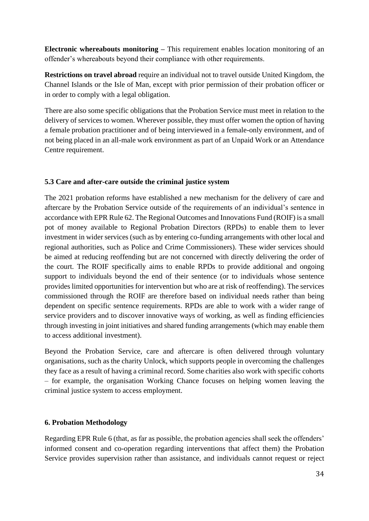**Electronic whereabouts monitoring –** This requirement enables location monitoring of an offender's whereabouts beyond their compliance with other requirements.

**Restrictions on travel abroad** require an individual not to travel outside United Kingdom, the Channel Islands or the Isle of Man, except with prior permission of their probation officer or in order to comply with a legal obligation.

There are also some specific obligations that the Probation Service must meet in relation to the delivery of services to women. Wherever possible, they must offer women the option of having a female probation practitioner and of being interviewed in a female-only environment, and of not being placed in an all-male work environment as part of an Unpaid Work or an Attendance Centre requirement.

## **5.3 Care and after-care outside the criminal justice system**

The 2021 probation reforms have established a new mechanism for the delivery of care and aftercare by the Probation Service outside of the requirements of an individual's sentence in accordance with EPR Rule 62. The Regional Outcomes and Innovations Fund (ROIF) is a small pot of money available to Regional Probation Directors (RPDs) to enable them to lever investment in wider services (such as by entering co-funding arrangements with other local and regional authorities, such as Police and Crime Commissioners). These wider services should be aimed at reducing reoffending but are not concerned with directly delivering the order of the court. The ROIF specifically aims to enable RPDs to provide additional and ongoing support to individuals beyond the end of their sentence (or to individuals whose sentence provides limited opportunities for intervention but who are at risk of reoffending). The services commissioned through the ROIF are therefore based on individual needs rather than being dependent on specific sentence requirements. RPDs are able to work with a wider range of service providers and to discover innovative ways of working, as well as finding efficiencies through investing in joint initiatives and shared funding arrangements (which may enable them to access additional investment).

Beyond the Probation Service, care and aftercare is often delivered through voluntary organisations, such as the charity Unlock, which supports people in overcoming the challenges they face as a result of having a criminal record. Some charities also work with specific cohorts – for example, the organisation Working Chance focuses on helping women leaving the criminal justice system to access employment.

#### **6. Probation Methodology**

Regarding EPR Rule 6 (that, as far as possible, the probation agencies shall seek the offenders' informed consent and co-operation regarding interventions that affect them) the Probation Service provides supervision rather than assistance, and individuals cannot request or reject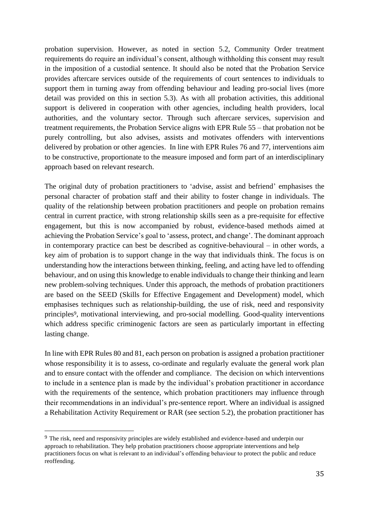probation supervision. However, as noted in section 5.2, Community Order treatment requirements do require an individual's consent, although withholding this consent may result in the imposition of a custodial sentence. It should also be noted that the Probation Service provides aftercare services outside of the requirements of court sentences to individuals to support them in turning away from offending behaviour and leading pro-social lives (more detail was provided on this in section 5.3). As with all probation activities, this additional support is delivered in cooperation with other agencies, including health providers, local authorities, and the voluntary sector. Through such aftercare services, supervision and treatment requirements, the Probation Service aligns with EPR Rule 55 – that probation not be purely controlling, but also advises, assists and motivates offenders with interventions delivered by probation or other agencies. In line with EPR Rules 76 and 77, interventions aim to be constructive, proportionate to the measure imposed and form part of an interdisciplinary approach based on relevant research.

The original duty of probation practitioners to 'advise, assist and befriend' emphasises the personal character of probation staff and their ability to foster change in individuals. The quality of the relationship between probation practitioners and people on probation remains central in current practice, with strong relationship skills seen as a pre-requisite for effective engagement, but this is now accompanied by robust, evidence-based methods aimed at achieving the Probation Service's goal to 'assess, protect, and change'. The dominant approach in contemporary practice can best be described as cognitive-behavioural – in other words, a key aim of probation is to support change in the way that individuals think. The focus is on understanding how the interactions between thinking, feeling, and acting have led to offending behaviour, and on using this knowledge to enable individuals to change their thinking and learn new problem-solving techniques. Under this approach, the methods of probation practitioners are based on the SEED (Skills for Effective Engagement and Development) model, which emphasises techniques such as relationship-building, the use of risk, need and responsivity principles9, motivational interviewing, and pro-social modelling. Good-quality interventions which address specific criminogenic factors are seen as particularly important in effecting lasting change.

In line with EPR Rules 80 and 81, each person on probation is assigned a probation practitioner whose responsibility it is to assess, co-ordinate and regularly evaluate the general work plan and to ensure contact with the offender and compliance. The decision on which interventions to include in a sentence plan is made by the individual's probation practitioner in accordance with the requirements of the sentence, which probation practitioners may influence through their recommendations in an individual's pre-sentence report. Where an individual is assigned a Rehabilitation Activity Requirement or RAR (see section 5.2), the probation practitioner has

<sup>9</sup> The risk, need and responsivity principles are widely established and evidence-based and underpin our approach to rehabilitation. They help probation practitioners choose appropriate interventions and help practitioners focus on what is relevant to an individual's offending behaviour to protect the public and reduce reoffending.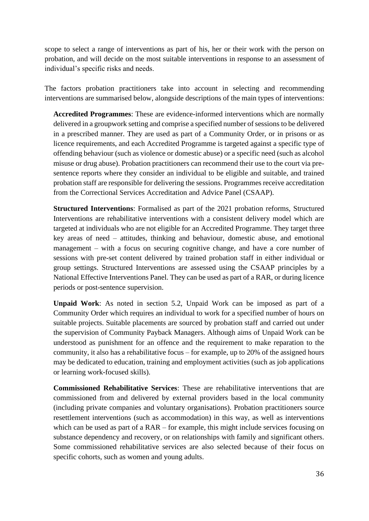scope to select a range of interventions as part of his, her or their work with the person on probation, and will decide on the most suitable interventions in response to an assessment of individual's specific risks and needs.

The factors probation practitioners take into account in selecting and recommending interventions are summarised below, alongside descriptions of the main types of interventions:

**Accredited Programmes**: These are evidence-informed interventions which are normally delivered in a groupwork setting and comprise a specified number of sessions to be delivered in a prescribed manner. They are used as part of a Community Order, or in prisons or as licence requirements, and each Accredited Programme is targeted against a specific type of offending behaviour (such as violence or domestic abuse) or a specific need (such as alcohol misuse or drug abuse). Probation practitioners can recommend their use to the court via presentence reports where they consider an individual to be eligible and suitable, and trained probation staff are responsible for delivering the sessions. Programmes receive accreditation from the Correctional Services Accreditation and Advice Panel (CSAAP).

**Structured Interventions**: Formalised as part of the 2021 probation reforms, Structured Interventions are rehabilitative interventions with a consistent delivery model which are targeted at individuals who are not eligible for an Accredited Programme. They target three key areas of need – attitudes, thinking and behaviour, domestic abuse, and emotional management – with a focus on securing cognitive change, and have a core number of sessions with pre-set content delivered by trained probation staff in either individual or group settings. Structured Interventions are assessed using the CSAAP principles by a National Effective Interventions Panel. They can be used as part of a RAR, or during licence periods or post-sentence supervision.

**Unpaid Work**: As noted in section 5.2, Unpaid Work can be imposed as part of a Community Order which requires an individual to work for a specified number of hours on suitable projects. Suitable placements are sourced by probation staff and carried out under the supervision of Community Payback Managers. Although aims of Unpaid Work can be understood as punishment for an offence and the requirement to make reparation to the community, it also has a rehabilitative focus – for example, up to 20% of the assigned hours may be dedicated to education, training and employment activities (such as job applications or learning work-focused skills).

**Commissioned Rehabilitative Services**: These are rehabilitative interventions that are commissioned from and delivered by external providers based in the local community (including private companies and voluntary organisations). Probation practitioners source resettlement interventions (such as accommodation) in this way, as well as interventions which can be used as part of a RAR – for example, this might include services focusing on substance dependency and recovery, or on relationships with family and significant others. Some commissioned rehabilitative services are also selected because of their focus on specific cohorts, such as women and young adults.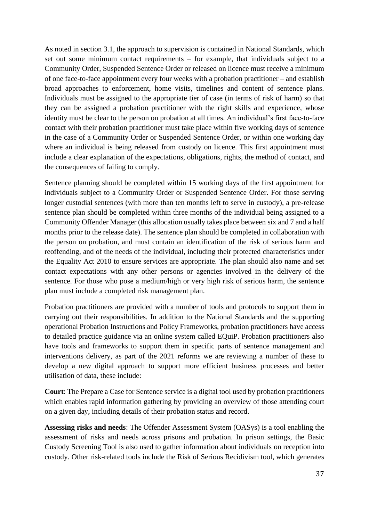As noted in section 3.1, the approach to supervision is contained in National Standards, which set out some minimum contact requirements – for example, that individuals subject to a Community Order, Suspended Sentence Order or released on licence must receive a minimum of one face-to-face appointment every four weeks with a probation practitioner – and establish broad approaches to enforcement, home visits, timelines and content of sentence plans. Individuals must be assigned to the appropriate tier of case (in terms of risk of harm) so that they can be assigned a probation practitioner with the right skills and experience, whose identity must be clear to the person on probation at all times. An individual's first face-to-face contact with their probation practitioner must take place within five working days of sentence in the case of a Community Order or Suspended Sentence Order, or within one working day where an individual is being released from custody on licence. This first appointment must include a clear explanation of the expectations, obligations, rights, the method of contact, and the consequences of failing to comply.

Sentence planning should be completed within 15 working days of the first appointment for individuals subject to a Community Order or Suspended Sentence Order. For those serving longer custodial sentences (with more than ten months left to serve in custody), a pre-release sentence plan should be completed within three months of the individual being assigned to a Community Offender Manager (this allocation usually takes place between six and 7 and a half months prior to the release date). The sentence plan should be completed in collaboration with the person on probation, and must contain an identification of the risk of serious harm and reoffending, and of the needs of the individual, including their protected characteristics under the Equality Act 2010 to ensure services are appropriate. The plan should also name and set contact expectations with any other persons or agencies involved in the delivery of the sentence. For those who pose a medium/high or very high risk of serious harm, the sentence plan must include a completed risk management plan.

Probation practitioners are provided with a number of tools and protocols to support them in carrying out their responsibilities. In addition to the National Standards and the supporting operational Probation Instructions and Policy Frameworks, probation practitioners have access to detailed practice guidance via an online system called EQuiP. Probation practitioners also have tools and frameworks to support them in specific parts of sentence management and interventions delivery, as part of the 2021 reforms we are reviewing a number of these to develop a new digital approach to support more efficient business processes and better utilisation of data, these include:

**Court**: The Prepare a Case for Sentence service is a digital tool used by probation practitioners which enables rapid information gathering by providing an overview of those attending court on a given day, including details of their probation status and record.

**Assessing risks and needs**: The Offender Assessment System (OASys) is a tool enabling the assessment of risks and needs across prisons and probation. In prison settings, the Basic Custody Screening Tool is also used to gather information about individuals on reception into custody. Other risk-related tools include the Risk of Serious Recidivism tool, which generates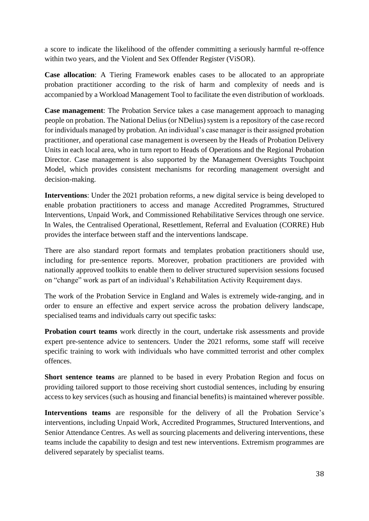a score to indicate the likelihood of the offender committing a seriously harmful re-offence within two years, and the Violent and Sex Offender Register (ViSOR).

**Case allocation**: A Tiering Framework enables cases to be allocated to an appropriate probation practitioner according to the risk of harm and complexity of needs and is accompanied by a Workload Management Tool to facilitate the even distribution of workloads.

**Case management**: The Probation Service takes a case management approach to managing people on probation. The National Delius (or NDelius) system is a repository of the case record for individuals managed by probation. An individual's case manager is their assigned probation practitioner, and operational case management is overseen by the Heads of Probation Delivery Units in each local area, who in turn report to Heads of Operations and the Regional Probation Director. Case management is also supported by the Management Oversights Touchpoint Model, which provides consistent mechanisms for recording management oversight and decision-making.

**Interventions**: Under the 2021 probation reforms, a new digital service is being developed to enable probation practitioners to access and manage Accredited Programmes, Structured Interventions, Unpaid Work, and Commissioned Rehabilitative Services through one service. In Wales, the Centralised Operational, Resettlement, Referral and Evaluation (CORRE) Hub provides the interface between staff and the interventions landscape.

There are also standard report formats and templates probation practitioners should use, including for pre-sentence reports. Moreover, probation practitioners are provided with nationally approved toolkits to enable them to deliver structured supervision sessions focused on "change" work as part of an individual's Rehabilitation Activity Requirement days.

The work of the Probation Service in England and Wales is extremely wide-ranging, and in order to ensure an effective and expert service across the probation delivery landscape, specialised teams and individuals carry out specific tasks:

**Probation court teams** work directly in the court, undertake risk assessments and provide expert pre-sentence advice to sentencers. Under the 2021 reforms, some staff will receive specific training to work with individuals who have committed terrorist and other complex offences.

**Short sentence teams** are planned to be based in every Probation Region and focus on providing tailored support to those receiving short custodial sentences, including by ensuring access to key services (such as housing and financial benefits) is maintained wherever possible.

**Interventions teams** are responsible for the delivery of all the Probation Service's interventions, including Unpaid Work, Accredited Programmes, Structured Interventions, and Senior Attendance Centres. As well as sourcing placements and delivering interventions, these teams include the capability to design and test new interventions. Extremism programmes are delivered separately by specialist teams.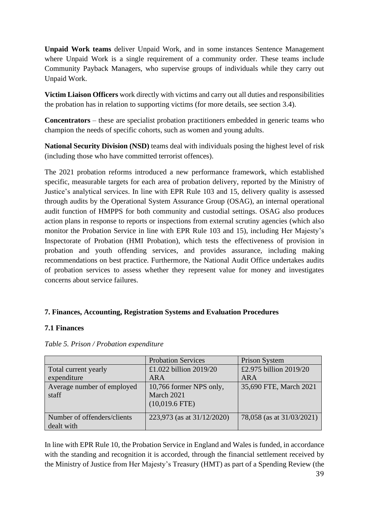**Unpaid Work teams** deliver Unpaid Work, and in some instances Sentence Management where Unpaid Work is a single requirement of a community order. These teams include Community Payback Managers, who supervise groups of individuals while they carry out Unpaid Work.

**Victim Liaison Officers** work directly with victims and carry out all duties and responsibilities the probation has in relation to supporting victims (for more details, see section 3.4).

**Concentrators** – these are specialist probation practitioners embedded in generic teams who champion the needs of specific cohorts, such as women and young adults.

**National Security Division (NSD)** teams deal with individuals posing the highest level of risk (including those who have committed terrorist offences).

The 2021 probation reforms introduced a new performance framework, which established specific, measurable targets for each area of probation delivery, reported by the Ministry of Justice's analytical services. In line with EPR Rule 103 and 15, delivery quality is assessed through audits by the Operational System Assurance Group (OSAG), an internal operational audit function of HMPPS for both community and custodial settings. OSAG also produces action plans in response to reports or inspections from external scrutiny agencies (which also monitor the Probation Service in line with EPR Rule 103 and 15), including Her Majesty's Inspectorate of Probation (HMI Probation), which tests the effectiveness of provision in probation and youth offending services, and provides assurance, including making recommendations on best practice. Furthermore, the National Audit Office undertakes audits of probation services to assess whether they represent value for money and investigates concerns about service failures.

## **7. Finances, Accounting, Registration Systems and Evaluation Procedures**

## **7.1 Finances**

|                                     | <b>Probation Services</b>             | Prison System             |
|-------------------------------------|---------------------------------------|---------------------------|
| Total current yearly                | £1.022 billion $2019/20$              | £2.975 billion 2019/20    |
| expenditure                         | ARA                                   | ARA                       |
| Average number of employed<br>staff | 10,766 former NPS only,<br>March 2021 | 35,690 FTE, March 2021    |
|                                     | $(10,019.6$ FTE)                      |                           |
| Number of offenders/clients         | 223,973 (as at 31/12/2020)            | 78,058 (as at 31/03/2021) |
| dealt with                          |                                       |                           |

*Table 5. Prison / Probation expenditure*

In line with EPR Rule 10, the Probation Service in England and Wales is funded, in accordance with the standing and recognition it is accorded, through the financial settlement received by the Ministry of Justice from Her Majesty's Treasury (HMT) as part of a Spending Review (the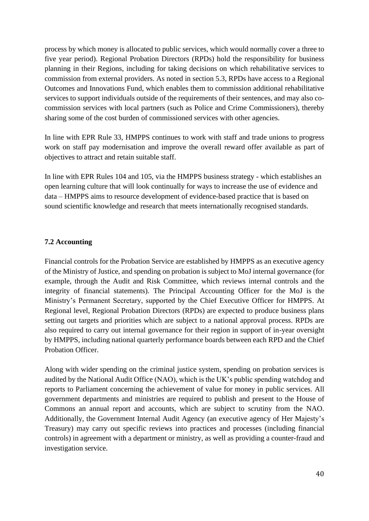process by which money is allocated to public services, which would normally cover a three to five year period). Regional Probation Directors (RPDs) hold the responsibility for business planning in their Regions, including for taking decisions on which rehabilitative services to commission from external providers. As noted in section 5.3, RPDs have access to a Regional Outcomes and Innovations Fund, which enables them to commission additional rehabilitative services to support individuals outside of the requirements of their sentences, and may also cocommission services with local partners (such as Police and Crime Commissioners), thereby sharing some of the cost burden of commissioned services with other agencies.

In line with EPR Rule 33, HMPPS continues to work with staff and trade unions to progress work on staff pay modernisation and improve the overall reward offer available as part of objectives to attract and retain suitable staff.

In line with EPR Rules 104 and 105, via the HMPPS business strategy - which establishes an open learning culture that will look continually for ways to increase the use of evidence and data – HMPPS aims to resource development of evidence-based practice that is based on sound scientific knowledge and research that meets internationally recognised standards.

#### **7.2 Accounting**

Financial controls for the Probation Service are established by HMPPS as an executive agency of the Ministry of Justice, and spending on probation is subject to MoJ internal governance (for example, through the Audit and Risk Committee, which reviews internal controls and the integrity of financial statements). The Principal Accounting Officer for the MoJ is the Ministry's Permanent Secretary, supported by the Chief Executive Officer for HMPPS. At Regional level, Regional Probation Directors (RPDs) are expected to produce business plans setting out targets and priorities which are subject to a national approval process. RPDs are also required to carry out internal governance for their region in support of in-year oversight by HMPPS, including national quarterly performance boards between each RPD and the Chief Probation Officer.

Along with wider spending on the criminal justice system, spending on probation services is audited by the National Audit Office (NAO), which is the UK's public spending watchdog and reports to Parliament concerning the achievement of value for money in public services. All government departments and ministries are required to publish and present to the House of Commons an annual report and accounts, which are subject to scrutiny from the NAO. Additionally, the Government Internal Audit Agency (an executive agency of Her Majesty's Treasury) may carry out specific reviews into practices and processes (including financial controls) in agreement with a department or ministry, as well as providing a counter-fraud and investigation service.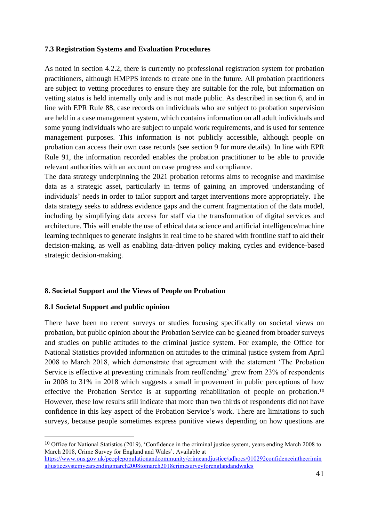## **7.3 Registration Systems and Evaluation Procedures**

As noted in section 4.2.2, there is currently no professional registration system for probation practitioners, although HMPPS intends to create one in the future. All probation practitioners are subject to vetting procedures to ensure they are suitable for the role, but information on vetting status is held internally only and is not made public. As described in section 6, and in line with EPR Rule 88, case records on individuals who are subject to probation supervision are held in a case management system, which contains information on all adult individuals and some young individuals who are subject to unpaid work requirements, and is used for sentence management purposes. This information is not publicly accessible, although people on probation can access their own case records (see section 9 for more details). In line with EPR Rule 91, the information recorded enables the probation practitioner to be able to provide relevant authorities with an account on case progress and compliance.

The data strategy underpinning the 2021 probation reforms aims to recognise and maximise data as a strategic asset, particularly in terms of gaining an improved understanding of individuals' needs in order to tailor support and target interventions more appropriately. The data strategy seeks to address evidence gaps and the current fragmentation of the data model, including by simplifying data access for staff via the transformation of digital services and architecture. This will enable the use of ethical data science and artificial intelligence/machine learning techniques to generate insights in real time to be shared with frontline staff to aid their decision-making, as well as enabling data-driven policy making cycles and evidence-based strategic decision-making.

## **8. Societal Support and the Views of People on Probation**

#### **8.1 Societal Support and public opinion**

There have been no recent surveys or studies focusing specifically on societal views on probation, but public opinion about the Probation Service can be gleaned from broader surveys and studies on public attitudes to the criminal justice system. For example, the Office for National Statistics provided information on attitudes to the criminal justice system from April 2008 to March 2018, which demonstrate that agreement with the statement 'The Probation Service is effective at preventing criminals from reoffending' grew from 23% of respondents in 2008 to 31% in 2018 which suggests a small improvement in public perceptions of how effective the Probation Service is at supporting rehabilitation of people on probation.<sup>10</sup> However, these low results still indicate that more than two thirds of respondents did not have confidence in this key aspect of the Probation Service's work. There are limitations to such surveys, because people sometimes express punitive views depending on how questions are

<sup>&</sup>lt;sup>10</sup> Office for National Statistics (2019), 'Confidence in the criminal justice system, years ending March 2008 to March 2018, Crime Survey for England and Wales'. Available at [https://www.ons.gov.uk/peoplepopulationandcommunity/crimeandjustice/adhocs/010292confidenceinthecrimin](https://www.ons.gov.uk/peoplepopulationandcommunity/crimeandjustice/adhocs/010292confidenceinthecriminaljusticesystemyearsendingmarch2008tomarch2018crimesurveyforenglandandwales)

[aljusticesystemyearsendingmarch2008tomarch2018crimesurveyforenglandandwales](https://www.ons.gov.uk/peoplepopulationandcommunity/crimeandjustice/adhocs/010292confidenceinthecriminaljusticesystemyearsendingmarch2008tomarch2018crimesurveyforenglandandwales)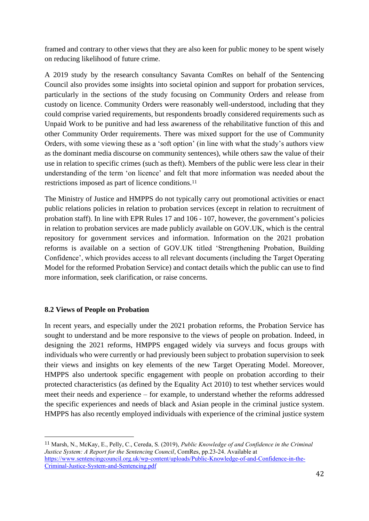framed and contrary to other views that they are also keen for public money to be spent wisely on reducing likelihood of future crime.

A 2019 study by the research consultancy Savanta ComRes on behalf of the Sentencing Council also provides some insights into societal opinion and support for probation services, particularly in the sections of the study focusing on Community Orders and release from custody on licence. Community Orders were reasonably well-understood, including that they could comprise varied requirements, but respondents broadly considered requirements such as Unpaid Work to be punitive and had less awareness of the rehabilitative function of this and other Community Order requirements. There was mixed support for the use of Community Orders, with some viewing these as a 'soft option' (in line with what the study's authors view as the dominant media discourse on community sentences), while others saw the value of their use in relation to specific crimes (such as theft). Members of the public were less clear in their understanding of the term 'on licence' and felt that more information was needed about the restrictions imposed as part of licence conditions.<sup>11</sup>

The Ministry of Justice and HMPPS do not typically carry out promotional activities or enact public relations policies in relation to probation services (except in relation to recruitment of probation staff). In line with EPR Rules 17 and 106 - 107, however, the government's policies in relation to probation services are made publicly available on GOV.UK, which is the central repository for government services and information. Information on the 2021 probation reforms is available on a section of GOV.UK titled 'Strengthening Probation, Building Confidence', which provides access to all relevant documents (including the Target Operating Model for the reformed Probation Service) and contact details which the public can use to find more information, seek clarification, or raise concerns.

## **8.2 Views of People on Probation**

In recent years, and especially under the 2021 probation reforms, the Probation Service has sought to understand and be more responsive to the views of people on probation. Indeed, in designing the 2021 reforms, HMPPS engaged widely via surveys and focus groups with individuals who were currently or had previously been subject to probation supervision to seek their views and insights on key elements of the new Target Operating Model. Moreover, HMPPS also undertook specific engagement with people on probation according to their protected characteristics (as defined by the Equality Act 2010) to test whether services would meet their needs and experience – for example, to understand whether the reforms addressed the specific experiences and needs of black and Asian people in the criminal justice system. HMPPS has also recently employed individuals with experience of the criminal justice system

<sup>11</sup> Marsh, N., McKay, E., Pelly, C., Cereda, S. (2019), *Public Knowledge of and Confidence in the Criminal Justice System: A Report for the Sentencing Council*, ComRes, pp.23-24. Available at [https://www.sentencingcouncil.org.uk/wp-content/uploads/Public-Knowledge-of-and-Confidence-in-the-](https://www.sentencingcouncil.org.uk/wp-content/uploads/Public-Knowledge-of-and-Confidence-in-the-Criminal-Justice-System-and-Sentencing.pdf)[Criminal-Justice-System-and-Sentencing.pdf](https://www.sentencingcouncil.org.uk/wp-content/uploads/Public-Knowledge-of-and-Confidence-in-the-Criminal-Justice-System-and-Sentencing.pdf)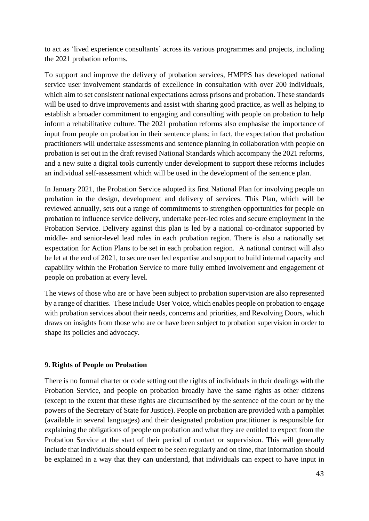to act as 'lived experience consultants' across its various programmes and projects, including the 2021 probation reforms.

To support and improve the delivery of probation services, HMPPS has developed national service user involvement standards of excellence in consultation with over 200 individuals, which aim to set consistent national expectations across prisons and probation. These standards will be used to drive improvements and assist with sharing good practice, as well as helping to establish a broader commitment to engaging and consulting with people on probation to help inform a rehabilitative culture. The 2021 probation reforms also emphasise the importance of input from people on probation in their sentence plans; in fact, the expectation that probation practitioners will undertake assessments and sentence planning in collaboration with people on probation is set out in the draft revised National Standards which accompany the 2021 reforms, and a new suite a digital tools currently under development to support these reforms includes an individual self-assessment which will be used in the development of the sentence plan.

In January 2021, the Probation Service adopted its first National Plan for involving people on probation in the design, development and delivery of services. This Plan, which will be reviewed annually, sets out a range of commitments to strengthen opportunities for people on probation to influence service delivery, undertake peer-led roles and secure employment in the Probation Service. Delivery against this plan is led by a national co-ordinator supported by middle- and senior-level lead roles in each probation region. There is also a nationally set expectation for Action Plans to be set in each probation region. A national contract will also be let at the end of 2021, to secure user led expertise and support to build internal capacity and capability within the Probation Service to more fully embed involvement and engagement of people on probation at every level.

The views of those who are or have been subject to probation supervision are also represented by a range of charities. These include User Voice, which enables people on probation to engage with probation services about their needs, concerns and priorities, and Revolving Doors, which draws on insights from those who are or have been subject to probation supervision in order to shape its policies and advocacy.

#### **9. Rights of People on Probation**

There is no formal charter or code setting out the rights of individuals in their dealings with the Probation Service, and people on probation broadly have the same rights as other citizens (except to the extent that these rights are circumscribed by the sentence of the court or by the powers of the Secretary of State for Justice). People on probation are provided with a pamphlet (available in several languages) and their designated probation practitioner is responsible for explaining the obligations of people on probation and what they are entitled to expect from the Probation Service at the start of their period of contact or supervision. This will generally include that individuals should expect to be seen regularly and on time, that information should be explained in a way that they can understand, that individuals can expect to have input in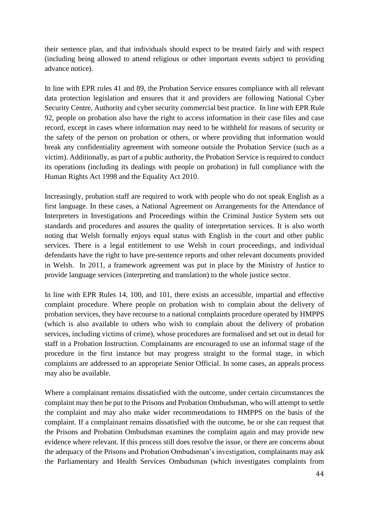their sentence plan, and that individuals should expect to be treated fairly and with respect (including being allowed to attend religious or other important events subject to providing advance notice).

In line with EPR rules 41 and 89, the Probation Service ensures compliance with all relevant data protection legislation and ensures that it and providers are following National Cyber Security Centre, Authority and cyber security commercial best practice. In line with EPR Rule 92, people on probation also have the right to access information in their case files and case record, except in cases where information may need to be withheld for reasons of security or the safety of the person on probation or others, or where providing that information would break any confidentiality agreement with someone outside the Probation Service (such as a victim). Additionally, as part of a public authority, the Probation Service is required to conduct its operations (including its dealings with people on probation) in full compliance with the Human Rights Act 1998 and the Equality Act 2010.

Increasingly, probation staff are required to work with people who do not speak English as a first language. In these cases, a National Agreement on Arrangements for the Attendance of Interpreters in Investigations and Proceedings within the Criminal Justice System sets out standards and procedures and assures the quality of interpretation services. It is also worth noting that Welsh formally enjoys equal status with English in the court and other public services. There is a legal entitlement to use Welsh in court proceedings, and individual defendants have the right to have pre-sentence reports and other relevant documents provided in Welsh. In 2011, a framework agreement was put in place by the Ministry of Justice to provide language services (interpreting and translation) to the whole justice sector.

In line with EPR Rules 14, 100, and 101, there exists an accessible, impartial and effective complaint procedure. Where people on probation wish to complain about the delivery of probation services, they have recourse to a national complaints procedure operated by HMPPS (which is also available to others who wish to complain about the delivery of probation services, including victims of crime), whose procedures are formalised and set out in detail for staff in a Probation Instruction. Complainants are encouraged to use an informal stage of the procedure in the first instance but may progress straight to the formal stage, in which complaints are addressed to an appropriate Senior Official. In some cases, an appeals process may also be available.

Where a complainant remains dissatisfied with the outcome, under certain circumstances the complaint may then be put to the Prisons and Probation Ombudsman, who will attempt to settle the complaint and may also make wider recommendations to HMPPS on the basis of the complaint. If a complainant remains dissatisfied with the outcome, he or she can request that the Prisons and Probation Ombudsman examines the complaint again and may provide new evidence where relevant. If this process still does resolve the issue, or there are concerns about the adequacy of the Prisons and Probation Ombudsman's investigation, complainants may ask the Parliamentary and Health Services Ombudsman (which investigates complaints from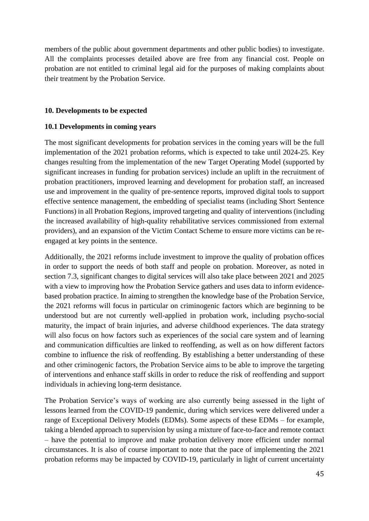members of the public about government departments and other public bodies) to investigate. All the complaints processes detailed above are free from any financial cost. People on probation are not entitled to criminal legal aid for the purposes of making complaints about their treatment by the Probation Service.

## **10. Developments to be expected**

## **10.1 Developments in coming years**

The most significant developments for probation services in the coming years will be the full implementation of the 2021 probation reforms, which is expected to take until 2024-25. Key changes resulting from the implementation of the new Target Operating Model (supported by significant increases in funding for probation services) include an uplift in the recruitment of probation practitioners, improved learning and development for probation staff, an increased use and improvement in the quality of pre-sentence reports, improved digital tools to support effective sentence management, the embedding of specialist teams (including Short Sentence Functions) in all Probation Regions, improved targeting and quality of interventions (including the increased availability of high-quality rehabilitative services commissioned from external providers), and an expansion of the Victim Contact Scheme to ensure more victims can be reengaged at key points in the sentence.

Additionally, the 2021 reforms include investment to improve the quality of probation offices in order to support the needs of both staff and people on probation. Moreover, as noted in section 7.3, significant changes to digital services will also take place between 2021 and 2025 with a view to improving how the Probation Service gathers and uses data to inform evidencebased probation practice. In aiming to strengthen the knowledge base of the Probation Service, the 2021 reforms will focus in particular on criminogenic factors which are beginning to be understood but are not currently well-applied in probation work, including psycho-social maturity, the impact of brain injuries, and adverse childhood experiences. The data strategy will also focus on how factors such as experiences of the social care system and of learning and communication difficulties are linked to reoffending, as well as on how different factors combine to influence the risk of reoffending. By establishing a better understanding of these and other criminogenic factors, the Probation Service aims to be able to improve the targeting of interventions and enhance staff skills in order to reduce the risk of reoffending and support individuals in achieving long-term desistance.

The Probation Service's ways of working are also currently being assessed in the light of lessons learned from the COVID-19 pandemic, during which services were delivered under a range of Exceptional Delivery Models (EDMs). Some aspects of these EDMs – for example, taking a blended approach to supervision by using a mixture of face-to-face and remote contact – have the potential to improve and make probation delivery more efficient under normal circumstances. It is also of course important to note that the pace of implementing the 2021 probation reforms may be impacted by COVID-19, particularly in light of current uncertainty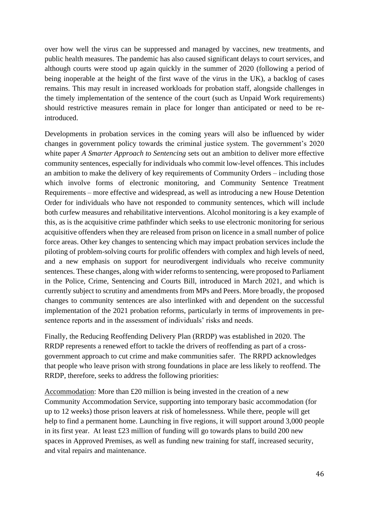over how well the virus can be suppressed and managed by vaccines, new treatments, and public health measures. The pandemic has also caused significant delays to court services, and although courts were stood up again quickly in the summer of 2020 (following a period of being inoperable at the height of the first wave of the virus in the UK), a backlog of cases remains. This may result in increased workloads for probation staff, alongside challenges in the timely implementation of the sentence of the court (such as Unpaid Work requirements) should restrictive measures remain in place for longer than anticipated or need to be reintroduced.

Developments in probation services in the coming years will also be influenced by wider changes in government policy towards the criminal justice system. The government's 2020 white paper *A Smarter Approach to Sentencing* sets out an ambition to deliver more effective community sentences, especially for individuals who commit low-level offences. This includes an ambition to make the delivery of key requirements of Community Orders – including those which involve forms of electronic monitoring, and Community Sentence Treatment Requirements – more effective and widespread, as well as introducing a new House Detention Order for individuals who have not responded to community sentences, which will include both curfew measures and rehabilitative interventions. Alcohol monitoring is a key example of this, as is the acquisitive crime pathfinder which seeks to use electronic monitoring for serious acquisitive offenders when they are released from prison on licence in a small number of police force areas. Other key changes to sentencing which may impact probation services include the piloting of problem-solving courts for prolific offenders with complex and high levels of need, and a new emphasis on support for neurodivergent individuals who receive community sentences. These changes, along with wider reforms to sentencing, were proposed to Parliament in the Police, Crime, Sentencing and Courts Bill, introduced in March 2021, and which is currently subject to scrutiny and amendments from MPs and Peers. More broadly, the proposed changes to community sentences are also interlinked with and dependent on the successful implementation of the 2021 probation reforms, particularly in terms of improvements in presentence reports and in the assessment of individuals' risks and needs.

Finally, the Reducing Reoffending Delivery Plan (RRDP) was established in 2020. The RRDP represents a renewed effort to tackle the drivers of reoffending as part of a crossgovernment approach to cut crime and make communities safer. The RRPD acknowledges that people who leave prison with strong foundations in place are less likely to reoffend. The RRDP, therefore, seeks to address the following priorities:

Accommodation: More than £20 million is being invested in the creation of a new Community Accommodation Service, supporting into temporary basic accommodation (for up to 12 weeks) those prison leavers at risk of homelessness. While there, people will get help to find a permanent home. Launching in five regions, it will support around 3,000 people in its first year. At least £23 million of funding will go towards plans to build 200 new spaces in Approved Premises, as well as funding new training for staff, increased security, and vital repairs and maintenance.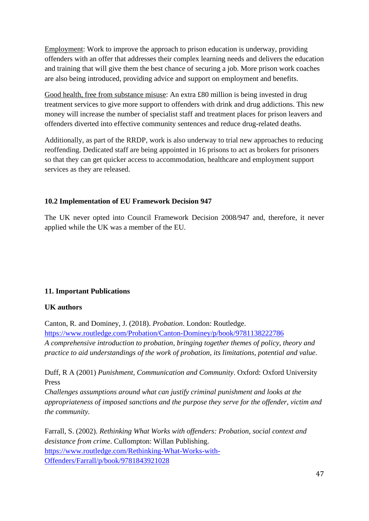Employment: Work to improve the approach to prison education is underway, providing offenders with an offer that addresses their complex learning needs and delivers the education and training that will give them the best chance of securing a job. More prison work coaches are also being introduced, providing advice and support on employment and benefits.

Good health, free from substance misuse: An extra £80 million is being invested in drug treatment services to give more support to offenders with drink and drug addictions. This new money will increase the number of specialist staff and treatment places for prison leavers and offenders diverted into effective community sentences and reduce drug-related deaths.

Additionally, as part of the RRDP, work is also underway to trial new approaches to reducing reoffending. Dedicated staff are being appointed in 16 prisons to act as brokers for prisoners so that they can get quicker access to accommodation, healthcare and employment support services as they are released.

## **10.2 Implementation of EU Framework Decision 947**

The UK never opted into Council Framework Decision 2008/947 and, therefore, it never applied while the UK was a member of the EU.

## **11. Important Publications**

## **UK authors**

Canton, R. and Dominey, J. (2018). *Probation*. London: Routledge. <https://www.routledge.com/Probation/Canton-Dominey/p/book/9781138222786> *A comprehensive introduction to probation, bringing together themes of policy, theory and practice to aid understandings of the work of probation, its limitations, potential and value*.

Duff, R A (2001) *Punishment, Communication and Community*. Oxford: Oxford University Press

*Challenges assumptions around what can justify criminal punishment and looks at the appropriateness of imposed sanctions and the purpose they serve for the offender, victim and the community.*

Farrall, S. (2002). *Rethinking What Works with offenders: Probation, social context and desistance from crime*. Cullompton: Willan Publishing. [https://www.routledge.com/Rethinking-What-Works-with-](https://www.routledge.com/Rethinking-What-Works-with-Offenders/Farrall/p/book/9781843921028)[Offenders/Farrall/p/book/9781843921028](https://www.routledge.com/Rethinking-What-Works-with-Offenders/Farrall/p/book/9781843921028)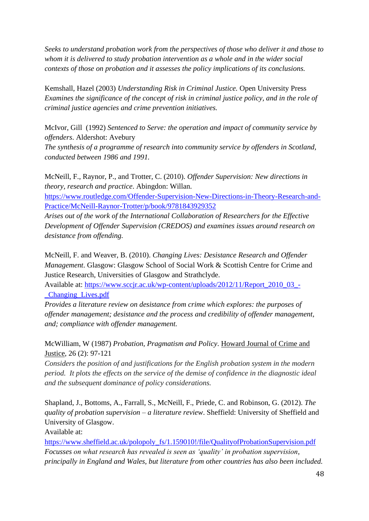*Seeks to understand probation work from the perspectives of those who deliver it and those to whom it is delivered to study probation intervention as a whole and in the wider social contexts of those on probation and it assesses the policy implications of its conclusions.*

Kemshall, Hazel (2003) *Understanding Risk in Criminal Justice.* Open University Press *Examines the significance of the concept of risk in criminal justice policy, and in the role of criminal justice agencies and crime prevention initiatives.* 

McIvor, Gill (1992) *Sentenced to Serve: the operation and impact of community service by offenders*. Aldershot: Avebury

*The synthesis of a programme of research into community service by offenders in Scotland, conducted between 1986 and 1991.* 

McNeill, F., Raynor, P., and Trotter, C. (2010). *Offender Supervision: New directions in theory, research and practice*. Abingdon: Willan.

[https://www.routledge.com/Offender-Supervision-New-Directions-in-Theory-Research-and-](https://www.routledge.com/Offender-Supervision-New-Directions-in-Theory-Research-and-Practice/McNeill-Raynor-Trotter/p/book/9781843929352)[Practice/McNeill-Raynor-Trotter/p/book/9781843929352](https://www.routledge.com/Offender-Supervision-New-Directions-in-Theory-Research-and-Practice/McNeill-Raynor-Trotter/p/book/9781843929352)

*Arises out of the work of the International Collaboration of Researchers for the Effective Development of Offender Supervision (CREDOS) and examines issues around research on desistance from offending.*

McNeill, F. and Weaver, B. (2010). *Changing Lives: Desistance Research and Offender Management*. Glasgow: Glasgow School of Social Work & Scottish Centre for Crime and Justice Research, Universities of Glasgow and Strathclyde.

Available at: [https://www.sccjr.ac.uk/wp-content/uploads/2012/11/Report\\_2010\\_03\\_-](https://www.sccjr.ac.uk/wp-content/uploads/2012/11/Report_2010_03_-_Changing_Lives.pdf) [\\_Changing\\_Lives.pdf](https://www.sccjr.ac.uk/wp-content/uploads/2012/11/Report_2010_03_-_Changing_Lives.pdf)

*Provides a literature review on desistance from crime which explores: the purposes of offender management; desistance and the process and credibility of offender management, and; compliance with offender management.*

McWilliam, W (1987) *Probation, Pragmatism and Policy*. Howard Journal of Crime and Justice, 26 (2): 97-121

*Considers the position of and justifications for the English probation system in the modern period. It plots the effects on the service of the demise of confidence in the diagnostic ideal and the subsequent dominance of policy considerations.*

Shapland, J., Bottoms, A., Farrall, S., McNeill, F., Priede, C. and Robinson, G. (2012). *The quality of probation supervision – a literature review*. Sheffield: University of Sheffield and University of Glasgow.

Available at:

[https://www.sheffield.ac.uk/polopoly\\_fs/1.159010!/file/QualityofProbationSupervision.pdf](https://www.sheffield.ac.uk/polopoly_fs/1.159010!/file/QualityofProbationSupervision.pdf) *Focusses on what research has revealed is seen as 'quality' in probation supervision, principally in England and Wales, but literature from other countries has also been included.*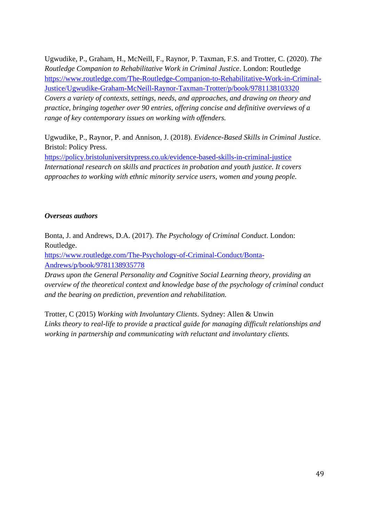Ugwudike, P., Graham, H., McNeill, F., Raynor, P. Taxman, F.S. and Trotter, C. (2020). *The Routledge Companion to Rehabilitative Work in Criminal Justice*. London: Routledge [https://www.routledge.com/The-Routledge-Companion-to-Rehabilitative-Work-in-Criminal-](https://www.routledge.com/The-Routledge-Companion-to-Rehabilitative-Work-in-Criminal-Justice/Ugwudike-Graham-McNeill-Raynor-Taxman-Trotter/p/book/9781138103320)[Justice/Ugwudike-Graham-McNeill-Raynor-Taxman-Trotter/p/book/9781138103320](https://www.routledge.com/The-Routledge-Companion-to-Rehabilitative-Work-in-Criminal-Justice/Ugwudike-Graham-McNeill-Raynor-Taxman-Trotter/p/book/9781138103320) *Covers a variety of contexts, settings, needs, and approaches, and drawing on theory and practice, bringing together over 90 entries, offering concise and definitive overviews of a range of key contemporary issues on working with offenders.*

Ugwudike, P., Raynor, P. and Annison, J. (2018). *Evidence-Based Skills in Criminal Justice*. Bristol: Policy Press.

<https://policy.bristoluniversitypress.co.uk/evidence-based-skills-in-criminal-justice> *International research on skills and practices in probation and youth justice. It covers approaches to working with ethnic minority service users, women and young people.*

## *Overseas authors*

Bonta, J. and Andrews, D.A. (2017). *The Psychology of Criminal Conduct*. London: Routledge.

[https://www.routledge.com/The-Psychology-of-Criminal-Conduct/Bonta-](https://www.routledge.com/The-Psychology-of-Criminal-Conduct/Bonta-Andrews/p/book/9781138935778)[Andrews/p/book/9781138935778](https://www.routledge.com/The-Psychology-of-Criminal-Conduct/Bonta-Andrews/p/book/9781138935778)

*Draws upon the General Personality and Cognitive Social Learning theory, providing an overview of the theoretical context and knowledge base of the psychology of criminal conduct and the bearing on prediction, prevention and rehabilitation.*

Trotter, C (2015) *Working with Involuntary Clients*. Sydney: Allen & Unwin *Links theory to real-life to provide a practical guide for managing difficult relationships and working in partnership and communicating with reluctant and involuntary clients.*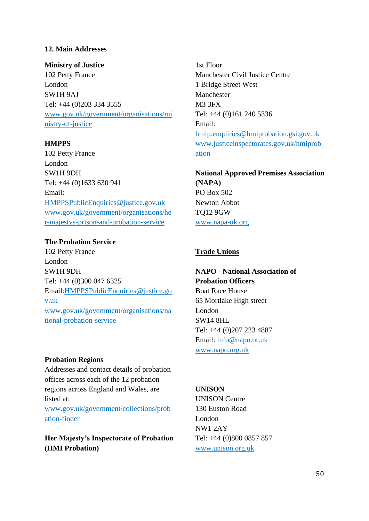## **12. Main Addresses**

**Ministry of Justice** 102 Petty France London SW1H 9AJ Tel: +44 (0)203 334 3555 [www.gov.uk/government/organisations/mi](http://www.gov.uk/government/organisations/ministry-of-justice) [nistry-of-justice](http://www.gov.uk/government/organisations/ministry-of-justice)

**HMPPS**

102 Petty France London SW1H 9DH Tel: +44 (0)1633 630 941 Email: [HMPPSPublicEnquiries@justice.gov.uk](mailto:HMPPSPublicEnquiries@justice.gov.uk) [www.gov.uk/government/organisations/he](http://www.gov.uk/government/organisations/her-majestys-prison-and-probation-service) [r-majestys-prison-and-probation-service](http://www.gov.uk/government/organisations/her-majestys-prison-and-probation-service)

#### **The Probation Service**

102 Petty France London SW1H 9DH Tel: +44 (0)300 047 6325 Email[:HMPPSPublicEnquiries@justice.go](mailto:HMPPSPublicEnquiries@justice.gov.uk) [v.uk](mailto:HMPPSPublicEnquiries@justice.gov.uk) [www.gov.uk/government/organisations/na](http://www.gov.uk/government/organisations/national-probation-service) [tional-probation-service](http://www.gov.uk/government/organisations/national-probation-service)

1st Floor Manchester Civil Justice Centre 1 Bridge Street West Manchester M3 3F[X](http://www.justiceinspectorates.gov.uk/hmiprobation) Tel: +44 (0)161 240 5336 Email: hmip.enquiries@hmiprobation.gsi.gov.uk www.justiceinspectorates.gov.uk/hmiprob ation

**National Approved Premises Association (NAPA)** PO Box 502 Newton Abbot TQ12 9GW [www.napa-uk.org](http://www.napa-uk.org/)

#### **Trade Unions**

**NAPO - National Association of Probation Officers** Boat Race House 65 Mortlake High street London SW14 8HL Tel: +44 (0)207 223 4887 Email: info@napo.or.uk [www.napo.org.uk](http://www.napo.org.uk/)

#### **Probation Regions**

Addresses and contact details of probation offices across each of the 12 probation regions across England and Wales, are listed at:

[www.gov.uk/government/collections/prob](https://www.gov.uk/government/collections/probation-finder) [ation-finder](https://www.gov.uk/government/collections/probation-finder)

**Her Majesty's Inspectorate of Probation (HMI Probation)**

#### **UNISON**

UNISON Centre 130 Euston Road London NW1 2AY Tel: +44 (0)800 0857 857 [www.unison.org.uk](https://www.unison.org.uk/)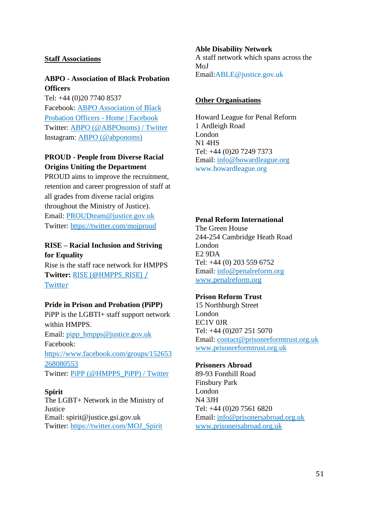#### **Staff Associations**

## **ABPO - Association of Black Probation Officers**

Tel: +44 (0)20 7740 8537 Facebook: [ABPO Association of Black](https://en-gb.facebook.com/ABPO-Association-of-Black-Probation-Officers-108896621368/)  [Probation Officers -](https://en-gb.facebook.com/ABPO-Association-of-Black-Probation-Officers-108896621368/) Home | Facebook Twitter: [ABPO \(@ABPOnoms\) / Twitter](https://twitter.com/abponoms?lang=en) Instagram: [ABPO \(@abponoms\)](https://www.instagram.com/abponoms/?hl=en)

## **PROUD - People from Diverse Racial Origins Uniting the Department**

PROUD aims to improve the recruitment, retention and career progression of staff at all grades from diverse racial origins throughout the Ministry of Justice). Email: [PROUDteam@justice.gov.uk](https://justiceuk-my.sharepoint.com/personal/kevin_eaves_justice_gov_uk/Documents/WORK/PROBATION/PROGRAMME/aa%20-%20PROBATION%20IN%20EUROPE/PROUDteam@justice.gov.uk) Twitter:<https://twitter.com/mojproud>

## **RISE – Racial Inclusion and Striving for Equality**

Rise is the staff race network for HMPPS **Twitter:** [RISE \(@HMPPS\\_RISE\) /](https://twitter.com/hmpps_rise?lang=en)  [Twitter](https://twitter.com/hmpps_rise?lang=en)

#### **Pride in Prison and Probation (PiPP)**

PiPP is the LGBTI+ staff support network within HMPPS. Email: [pipp\\_hmpps@justice.gov.uk](mailto:pipp_hmpps@justice.gov.uk) Facebook: [https://www.facebook.com/groups/152653](https://www.facebook.com/groups/152653268080553) [268080553](https://www.facebook.com/groups/152653268080553) Twitter: [PiPP \(@HMPPS\\_PiPP\) / Twitter](https://twitter.com/HMPPS_PiPP?ref_src=twsrc%5Egoogle%7Ctwcamp%5Eserp%7Ctwgr%5Eauthor)

#### **Spirit**

The LGBT+ Network in the Ministry of Justice Email: spirit@justice.gsi.gov.uk Twitter: [https://twitter.com/MOJ\\_Spirit](https://twitter.com/MOJ_Spirit)

#### **Able Disability Network**

A staff network which spans across the MoJ Email:ABLE@justice.gov.uk

#### **Other Organisations**

Howard League for Penal Reform 1 Ardleigh Road London N1 4HS Tel: +44 (0)20 7249 7373 Email: [info@howardleague.org](mailto:info@howardleague.org) www.howardleague.org

#### **Penal Reform International**

The Green House 244-254 Cambridge Heath Road London E2 9DA Tel: +44 (0) 203 559 6752 Email: [info@penalreform.org](mailto:info@penalreform.org) [www.penalreform.org](http://www.penalreform.org/)

#### **Prison Reform Trust**

15 Northburgh Street London EC1V 0JR Tel: +44 (0)207 251 5070 Email: [contact@prisonreformtrust.org.uk](mailto:contact@prisonreformtrust.org.uk) [www.prisonreformtrust.org.uk](http://www.prisonreformtrust.org.uk/)

#### **Prisoners Abroad**

89-93 Fonthill Road Finsbury Park London N4 3JH Tel: +44 (0)20 7561 6820 Email: [info@prisonersabroad.org.uk](mailto:info@prisonersabroad.org.uk) [www.prisonersabroad.org.uk](http://www.prisonersabroad.org.uk/)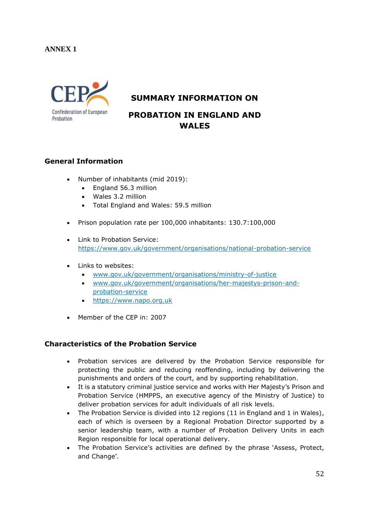## **ANNEX 1**



## **SUMMARY INFORMATION ON**

# **PROBATION IN ENGLAND AND WALES**

## **General Information**

- Number of inhabitants (mid 2019):
	- England 56.3 million
	- Wales 3.2 million
	- Total England and Wales: 59.5 million
- Prison population rate per 100,000 inhabitants: 130.7:100,000
- Link to Probation Service: <https://www.gov.uk/government/organisations/national-probation-service>
- Links to websites:
	- [www.gov.uk/government/organisations/ministry-of-justice](http://www.gov.uk/government/organisations/ministry-of-justice)
	- [www.gov.uk/government/organisations/her-majestys-prison-and](http://www.gov.uk/government/organisations/her-majestys-prison-and-probation-service)[probation-service](http://www.gov.uk/government/organisations/her-majestys-prison-and-probation-service)
	- [https://www.napo.org.uk](https://www.napo.org.uk/)
- Member of the CEP in: 2007

#### **Characteristics of the Probation Service**

- Probation services are delivered by the Probation Service responsible for protecting the public and reducing reoffending, including by delivering the punishments and orders of the court, and by supporting rehabilitation.
- It is a statutory criminal justice service and works with Her Majesty's Prison and Probation Service (HMPPS, an executive agency of the Ministry of Justice) to deliver probation services for adult individuals of all risk levels.
- The Probation Service is divided into 12 regions (11 in England and 1 in Wales), each of which is overseen by a Regional Probation Director supported by a senior leadership team, with a number of Probation Delivery Units in each Region responsible for local operational delivery.
- The Probation Service's activities are defined by the phrase 'Assess, Protect, and Change'.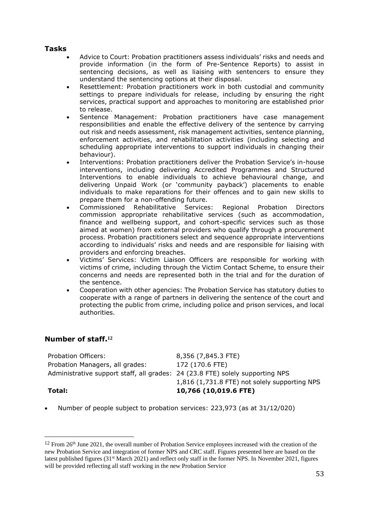## **Tasks**

- Advice to Court: Probation practitioners assess individuals' risks and needs and provide information (in the form of Pre-Sentence Reports) to assist in sentencing decisions, as well as liaising with sentencers to ensure they understand the sentencing options at their disposal.
- Resettlement: Probation practitioners work in both custodial and community settings to prepare individuals for release, including by ensuring the right services, practical support and approaches to monitoring are established prior to release.
- Sentence Management: Probation practitioners have case management responsibilities and enable the effective delivery of the sentence by carrying out risk and needs assessment, risk management activities, sentence planning, enforcement activities, and rehabilitation activities (including selecting and scheduling appropriate interventions to support individuals in changing their behaviour).
- Interventions: Probation practitioners deliver the Probation Service's in-house interventions, including delivering Accredited Programmes and Structured Interventions to enable individuals to achieve behavioural change, and delivering Unpaid Work (or 'community payback') placements to enable individuals to make reparations for their offences and to gain new skills to prepare them for a non-offending future.
- Commissioned Rehabilitative Services: Regional Probation Directors commission appropriate rehabilitative services (such as accommodation, finance and wellbeing support, and cohort-specific services such as those aimed at women) from external providers who qualify through a procurement process. Probation practitioners select and sequence appropriate interventions according to individuals' risks and needs and are responsible for liaising with providers and enforcing breaches.
- Victims' Services: Victim Liaison Officers are responsible for working with victims of crime, including through the Victim Contact Scheme, to ensure their concerns and needs are represented both in the trial and for the duration of the sentence.
- Cooperation with other agencies: The Probation Service has statutory duties to cooperate with a range of partners in delivering the sentence of the court and protecting the public from crime, including police and prison services, and local authorities.

## **Number of staff. 12**

Probation Officers: 8,356 (7,845.3 FTE) Probation Managers, all grades: 172 (170.6 FTE) Administrative support staff, all grades: 24 (23.8 FTE) solely supporting NPS 1,816 (1,731.8 FTE) not solely supporting NPS **Total: 10,766 (10,019.6 FTE)**

• Number of people subject to probation services: 223,973 (as at 31/12/020)

 $12$  From 26<sup>th</sup> June 2021, the overall number of Probation Service employees increased with the creation of the new Probation Service and integration of former NPS and CRC staff. Figures presented here are based on the latest published figures (31st March 2021) and reflect only staff in the former NPS. In November 2021, figures will be provided reflecting all staff working in the new Probation Service